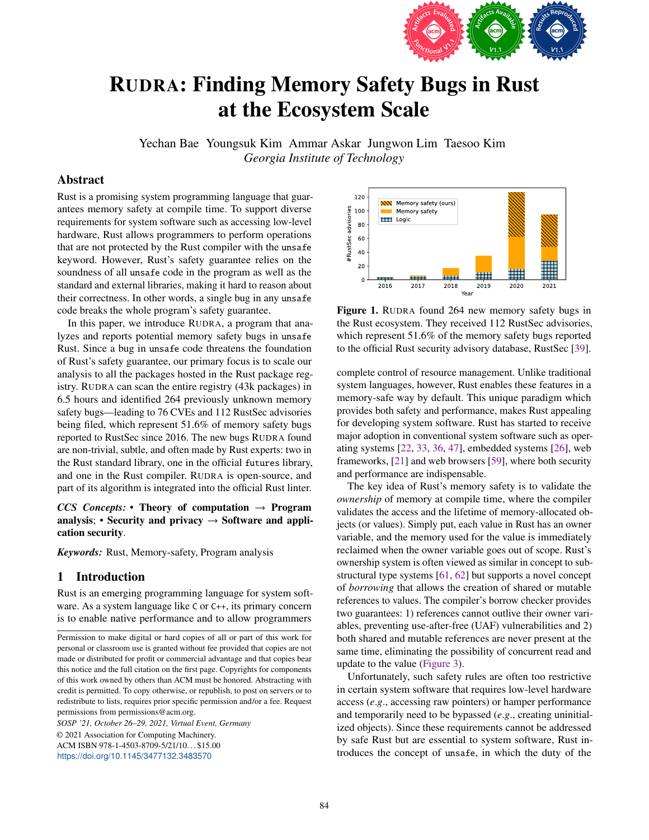

# RUDRA: Finding Memory Safety Bugs in Rust at the Ecosystem Scale

Yechan Bae Youngsuk Kim Ammar Askar Jungwon Lim Taesoo Kim *Georgia Institute of Technology*

# Abstract

Rust is a promising system programming language that guarantees memory safety at compile time. To support diverse requirements for system software such as accessing low-level hardware, Rust allows programmers to perform operations that are not protected by the Rust compiler with the unsafe keyword. However, Rust's safety guarantee relies on the soundness of all unsafe code in the program as well as the standard and external libraries, making it hard to reason about their correctness. In other words, a single bug in any unsafe code breaks the whole program's safety guarantee.

In this paper, we introduce RUDRA, a program that analyzes and reports potential memory safety bugs in unsafe Rust. Since a bug in unsafe code threatens the foundation of Rust's safety guarantee, our primary focus is to scale our analysis to all the packages hosted in the Rust package registry. RUDRA can scan the entire registry (43k packages) in 6.5 hours and identified 264 previously unknown memory safety bugs—leading to 76 CVEs and 112 RustSec advisories being filed, which represent 51.6% of memory safety bugs reported to RustSec since 2016. The new bugs RUDRA found are non-trivial, subtle, and often made by Rust experts: two in the Rust standard library, one in the official futures library, and one in the Rust compiler. RUDRA is open-source, and part of its algorithm is integrated into the official Rust linter.

# *CCS Concepts:* • Theory of computation  $\rightarrow$  Program analysis; • Security and privacy  $\rightarrow$  Software and application security.

*Keywords:* Rust, Memory-safety, Program analysis

## 1 Introduction

Rust is an emerging programming language for system software. As a system language like C or C++, its primary concern is to enable native performance and to allow programmers

*SOSP '21, October 26–29, 2021, Virtual Event, Germany*

© 2021 Association for Computing Machinery. ACM ISBN 978-1-4503-8709-5/21/10. . . \$15.00 <https://doi.org/10.1145/3477132.3483570>

<span id="page-0-0"></span>

Figure 1. RUDRA found 264 new memory safety bugs in the Rust ecosystem. They received 112 RustSec advisories, which represent 51.6% of the memory safety bugs reported to the official Rust security advisory database, RustSec [\[39\]](#page-14-0).

complete control of resource management. Unlike traditional system languages, however, Rust enables these features in a memory-safe way by default. This unique paradigm which provides both safety and performance, makes Rust appealing for developing system software. Rust has started to receive major adoption in conventional system software such as operating systems [\[22,](#page-14-1) [33,](#page-14-2) [36,](#page-14-3) [47\]](#page-15-0), embedded systems [\[26\]](#page-14-4), web frameworks, [\[21\]](#page-14-5) and web browsers [\[59\]](#page-15-1), where both security and performance are indispensable.

The key idea of Rust's memory safety is to validate the *ownership* of memory at compile time, where the compiler validates the access and the lifetime of memory-allocated objects (or values). Simply put, each value in Rust has an owner variable, and the memory used for the value is immediately reclaimed when the owner variable goes out of scope. Rust's ownership system is often viewed as similar in concept to substructural type systems [\[61,](#page-15-2) [62\]](#page-15-3) but supports a novel concept of *borrowing* that allows the creation of shared or mutable references to values. The compiler's borrow checker provides two guarantees: 1) references cannot outlive their owner variables, preventing use-after-free (UAF) vulnerabilities and 2) both shared and mutable references are never present at the same time, eliminating the possibility of concurrent read and update to the value [\(Figure 3\)](#page-1-0).

Unfortunately, such safety rules are often too restrictive in certain system software that requires low-level hardware access (*e*.*g*., accessing raw pointers) or hamper performance and temporarily need to be bypassed (*e*.*g*., creating uninitialized objects). Since these requirements cannot be addressed by safe Rust but are essential to system software, Rust introduces the concept of unsafe, in which the duty of the

Permission to make digital or hard copies of all or part of this work for personal or classroom use is granted without fee provided that copies are not made or distributed for profit or commercial advantage and that copies bear this notice and the full citation on the first page. Copyrights for components of this work owned by others than ACM must be honored. Abstracting with credit is permitted. To copy otherwise, or republish, to post on servers or to redistribute to lists, requires prior specific permission and/or a fee. Request permissions from permissions@acm.org.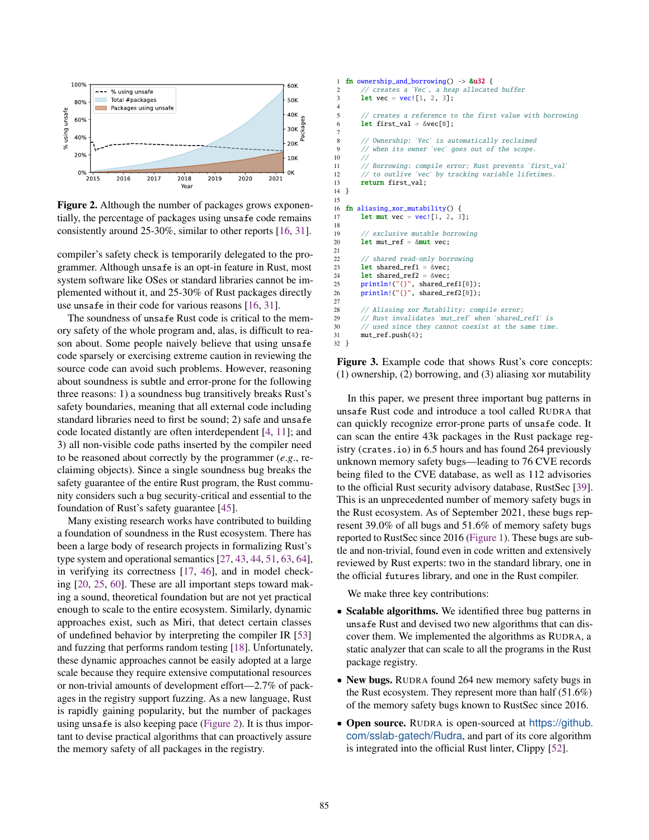<span id="page-1-1"></span>

Figure 2. Although the number of packages grows exponentially, the percentage of packages using unsafe code remains consistently around 25-30%, similar to other reports [\[16,](#page-14-6) [31\]](#page-14-7).

compiler's safety check is temporarily delegated to the programmer. Although unsafe is an opt-in feature in Rust, most system software like OSes or standard libraries cannot be implemented without it, and 25-30% of Rust packages directly use unsafe in their code for various reasons [\[16,](#page-14-6) [31\]](#page-14-7).

The soundness of unsafe Rust code is critical to the memory safety of the whole program and, alas, is difficult to reason about. Some people naively believe that using unsafe code sparsely or exercising extreme caution in reviewing the source code can avoid such problems. However, reasoning about soundness is subtle and error-prone for the following three reasons: 1) a soundness bug transitively breaks Rust's safety boundaries, meaning that all external code including standard libraries need to first be sound; 2) safe and unsafe code located distantly are often interdependent [\[4,](#page-14-8) [11\]](#page-14-9); and 3) all non-visible code paths inserted by the compiler need to be reasoned about correctly by the programmer (*e*.*g*., reclaiming objects). Since a single soundness bug breaks the safety guarantee of the entire Rust program, the Rust community considers such a bug security-critical and essential to the foundation of Rust's safety guarantee [\[45\]](#page-15-4).

Many existing research works have contributed to building a foundation of soundness in the Rust ecosystem. There has been a large body of research projects in formalizing Rust's type system and operational semantics [\[27,](#page-14-10) [43,](#page-15-5) [44,](#page-15-6) [51,](#page-15-7) [63,](#page-15-8) [64\]](#page-15-9), in verifying its correctness [\[17,](#page-14-11) [46\]](#page-15-10), and in model checking [\[20,](#page-14-12) [25,](#page-14-13) [60\]](#page-15-11). These are all important steps toward making a sound, theoretical foundation but are not yet practical enough to scale to the entire ecosystem. Similarly, dynamic approaches exist, such as Miri, that detect certain classes of undefined behavior by interpreting the compiler IR [\[53\]](#page-15-12) and fuzzing that performs random testing [\[18\]](#page-14-14). Unfortunately, these dynamic approaches cannot be easily adopted at a large scale because they require extensive computational resources or non-trivial amounts of development effort—2.7% of packages in the registry support fuzzing. As a new language, Rust is rapidly gaining popularity, but the number of packages using unsafe is also keeping pace [\(Figure 2\)](#page-1-1). It is thus important to devise practical algorithms that can proactively assure the memory safety of all packages in the registry.

```
1 fn ownership_and_borrowing() -> &u32 {
2 // creates a `Vec`, a heap allocated buffer
3 let vec = vec[1, 2, 3];
\frac{4}{5}// creates a reference to the first value with borrowing
6 let first_val = &vec[0];
7
8 // Ownership: `Vec` is automatically reclaimed<br>9 // when its owner `vec` goes out of the scope.
           when its owner `vec` goes out of the scope.
1011 // Borrowing: compile error; Rust prevents `first_val`
12 // to outlive `vec` by tracking variable lifetimes.
13 return first val:
14 }
15
16 fn aliasing_xor_mutability() {
17 let mut vec = vec [1, 2, 3];
18
19 // exclusive mutable borrowing
20 let mut_ref = &mut vec;
21
22 // shared read-only borrowing<br>
23 let shared refl = Rvec:
        let shared ref1 = &\text{vec}:
24 let shared_ref2 = &vec;<br>25 println!("{}" shared r
25 println!("{}", shared_ref1[0]);
26 println!("{}", shared_ref2[0]);
27
28 // Aliasing xor Mutability: compile error;
29 // Rust invalidates `mut_ref` when `shared_ref1` is<br>30 // used since they cannot coexist at the same time
        // used since they cannot coexist at the same time.
31 mut_ref.push(4);
32 }
```
Figure 3. Example code that shows Rust's core concepts: (1) ownership, (2) borrowing, and (3) aliasing xor mutability

In this paper, we present three important bug patterns in unsafe Rust code and introduce a tool called RUDRA that can quickly recognize error-prone parts of unsafe code. It can scan the entire 43k packages in the Rust package registry (crates.io) in 6.5 hours and has found 264 previously unknown memory safety bugs—leading to 76 CVE records being filed to the CVE database, as well as 112 advisories to the official Rust security advisory database, RustSec [\[39\]](#page-14-0). This is an unprecedented number of memory safety bugs in the Rust ecosystem. As of September 2021, these bugs represent 39.0% of all bugs and 51.6% of memory safety bugs reported to RustSec since 2016 [\(Figure 1\)](#page-0-0). These bugs are subtle and non-trivial, found even in code written and extensively reviewed by Rust experts: two in the standard library, one in the official futures library, and one in the Rust compiler.

We make three key contributions:

- Scalable algorithms. We identified three bug patterns in unsafe Rust and devised two new algorithms that can discover them. We implemented the algorithms as RUDRA, a static analyzer that can scale to all the programs in the Rust package registry.
- New bugs. RUDRA found 264 new memory safety bugs in the Rust ecosystem. They represent more than half (51.6%) of the memory safety bugs known to RustSec since 2016.
- Open source. RUDRA is open-sourced at [https://github.](https://github.com/sslab-gatech/Rudra) [com/sslab-gatech/Rudra](https://github.com/sslab-gatech/Rudra), and part of its core algorithm is integrated into the official Rust linter, Clippy [\[52\]](#page-15-13).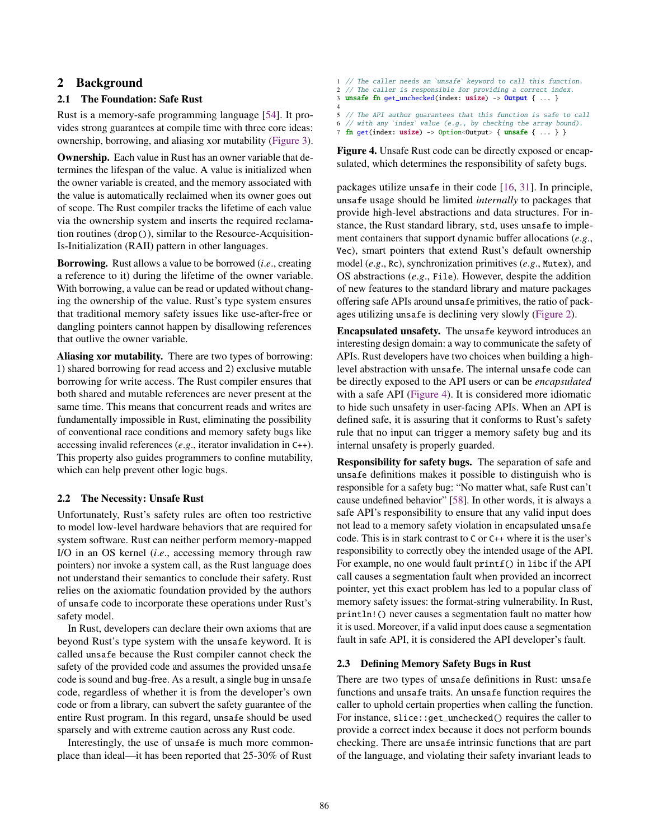## 2 Background

## 2.1 The Foundation: Safe Rust

Rust is a memory-safe programming language [\[54\]](#page-15-14). It provides strong guarantees at compile time with three core ideas: ownership, borrowing, and aliasing xor mutability [\(Figure 3\)](#page-1-0).

Ownership. Each value in Rust has an owner variable that determines the lifespan of the value. A value is initialized when the owner variable is created, and the memory associated with the value is automatically reclaimed when its owner goes out of scope. The Rust compiler tracks the lifetime of each value via the ownership system and inserts the required reclamation routines (drop()), similar to the Resource-Acquisition-Is-Initialization (RAII) pattern in other languages.

Borrowing. Rust allows a value to be borrowed (*i*.*e*., creating a reference to it) during the lifetime of the owner variable. With borrowing, a value can be read or updated without changing the ownership of the value. Rust's type system ensures that traditional memory safety issues like use-after-free or dangling pointers cannot happen by disallowing references that outlive the owner variable.

Aliasing xor mutability. There are two types of borrowing: 1) shared borrowing for read access and 2) exclusive mutable borrowing for write access. The Rust compiler ensures that both shared and mutable references are never present at the same time. This means that concurrent reads and writes are fundamentally impossible in Rust, eliminating the possibility of conventional race conditions and memory safety bugs like accessing invalid references (*e*.*g*., iterator invalidation in C++). This property also guides programmers to confine mutability, which can help prevent other logic bugs.

#### 2.2 The Necessity: Unsafe Rust

Unfortunately, Rust's safety rules are often too restrictive to model low-level hardware behaviors that are required for system software. Rust can neither perform memory-mapped I/O in an OS kernel (*i*.*e*., accessing memory through raw pointers) nor invoke a system call, as the Rust language does not understand their semantics to conclude their safety. Rust relies on the axiomatic foundation provided by the authors of unsafe code to incorporate these operations under Rust's safety model.

In Rust, developers can declare their own axioms that are beyond Rust's type system with the unsafe keyword. It is called unsafe because the Rust compiler cannot check the safety of the provided code and assumes the provided unsafe code is sound and bug-free. As a result, a single bug in unsafe code, regardless of whether it is from the developer's own code or from a library, can subvert the safety guarantee of the entire Rust program. In this regard, unsafe should be used sparsely and with extreme caution across any Rust code.

Interestingly, the use of unsafe is much more commonplace than ideal—it has been reported that 25-30% of Rust

<span id="page-2-0"></span>// The caller needs an `unsafe` keyword to call this function. 2 // The caller is responsible for providing a correct index. unsafe fn get\_unchecked(index: usize) ->  $Output \$  ... } 4 5 // The API author guarantees that this function is safe to call 6 // with any `index` value (e.g., by checking the array bound).<br>7 **fn** get(index: usize) -> Ontion<Output> { unsafe { ...} } fn get(index: usize) -> Option<Output> { unsafe { ... } }

Figure 4. Unsafe Rust code can be directly exposed or encapsulated, which determines the responsibility of safety bugs.

packages utilize unsafe in their code [\[16,](#page-14-6) [31\]](#page-14-7). In principle, unsafe usage should be limited *internally* to packages that provide high-level abstractions and data structures. For instance, the Rust standard library, std, uses unsafe to implement containers that support dynamic buffer allocations (*e*.*g*., Vec), smart pointers that extend Rust's default ownership model (*e*.*g*., Rc), synchronization primitives (*e*.*g*., Mutex), and OS abstractions (*e*.*g*., File). However, despite the addition of new features to the standard library and mature packages offering safe APIs around unsafe primitives, the ratio of packages utilizing unsafe is declining very slowly [\(Figure 2\)](#page-1-1).

Encapsulated unsafety. The unsafe keyword introduces an interesting design domain: a way to communicate the safety of APIs. Rust developers have two choices when building a highlevel abstraction with unsafe. The internal unsafe code can be directly exposed to the API users or can be *encapsulated* with a safe API [\(Figure 4\)](#page-2-0). It is considered more idiomatic to hide such unsafety in user-facing APIs. When an API is defined safe, it is assuring that it conforms to Rust's safety rule that no input can trigger a memory safety bug and its internal unsafety is properly guarded.

Responsibility for safety bugs. The separation of safe and unsafe definitions makes it possible to distinguish who is responsible for a safety bug: "No matter what, safe Rust can't cause undefined behavior" [\[58\]](#page-15-15). In other words, it is always a safe API's responsibility to ensure that any valid input does not lead to a memory safety violation in encapsulated unsafe code. This is in stark contrast to C or C++ where it is the user's responsibility to correctly obey the intended usage of the API. For example, no one would fault printf() in libc if the API call causes a segmentation fault when provided an incorrect pointer, yet this exact problem has led to a popular class of memory safety issues: the format-string vulnerability. In Rust, println!() never causes a segmentation fault no matter how it is used. Moreover, if a valid input does cause a segmentation fault in safe API, it is considered the API developer's fault.

#### 2.3 Defining Memory Safety Bugs in Rust

There are two types of unsafe definitions in Rust: unsafe functions and unsafe traits. An unsafe function requires the caller to uphold certain properties when calling the function. For instance, slice::get\_unchecked() requires the caller to provide a correct index because it does not perform bounds checking. There are unsafe intrinsic functions that are part of the language, and violating their safety invariant leads to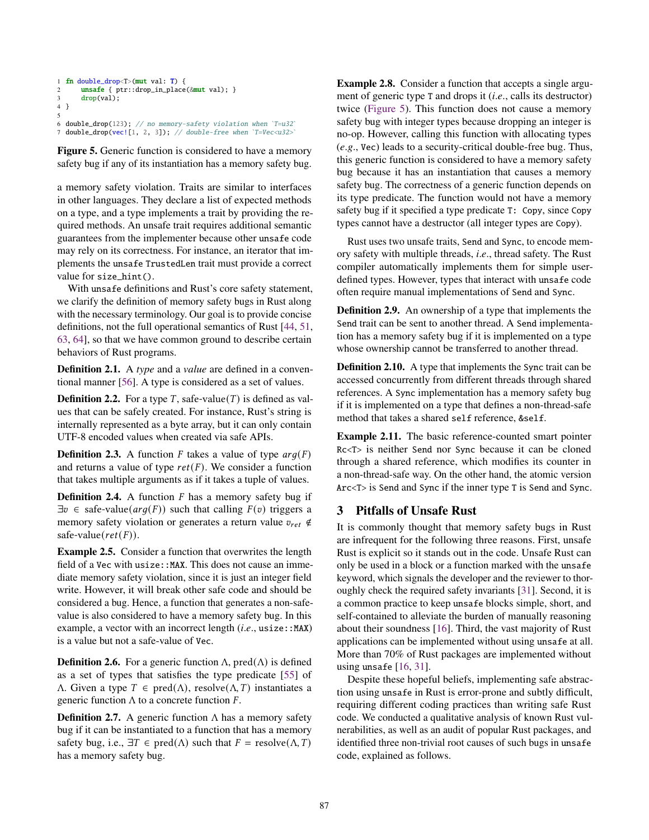```
1 fn double_drop<T>(mut val: T) {
2 unsafe { ptr::drop_in_place(&mut val); }
3 drop(val);
4 }
5<br>6 double_drop(123); // no memory-safety violation when `T=u32`
7 double_drop(vec![1, 2, 3]); // double-free when `T=Vec<u32>
```
Figure 5. Generic function is considered to have a memory safety bug if any of its instantiation has a memory safety bug.

a memory safety violation. Traits are similar to interfaces in other languages. They declare a list of expected methods on a type, and a type implements a trait by providing the required methods. An unsafe trait requires additional semantic guarantees from the implementer because other unsafe code may rely on its correctness. For instance, an iterator that implements the unsafe TrustedLen trait must provide a correct value for size\_hint().

With unsafe definitions and Rust's core safety statement, we clarify the definition of memory safety bugs in Rust along with the necessary terminology. Our goal is to provide concise definitions, not the full operational semantics of Rust [\[44,](#page-15-6) [51,](#page-15-7) [63,](#page-15-8) [64\]](#page-15-9), so that we have common ground to describe certain behaviors of Rust programs.

Definition 2.1. A *type* and a *value* are defined in a conventional manner [\[56\]](#page-15-16). A type is considered as a set of values.

**Definition 2.2.** For a type T, safe-value(T) is defined as values that can be safely created. For instance, Rust's string is internally represented as a byte array, but it can only contain UTF-8 encoded values when created via safe APIs.

**Definition 2.3.** A function F takes a value of type  $arg(F)$ and returns a value of type  $ret(F)$ . We consider a function that takes multiple arguments as if it takes a tuple of values.

**Definition 2.4.** A function  $F$  has a memory safety bug if  $\exists v \in \text{safe-value}(arg(F))$  such that calling  $F(v)$  triggers a memory safety violation or generates a return value  $v_{ret} \notin$ safe-value( $ret(F)$ ).

Example 2.5. Consider a function that overwrites the length field of a Vec with usize:: MAX. This does not cause an immediate memory safety violation, since it is just an integer field write. However, it will break other safe code and should be considered a bug. Hence, a function that generates a non-safevalue is also considered to have a memory safety bug. In this example, a vector with an incorrect length (*i.e.*, usize::MAX) is a value but not a safe-value of Vec.

**Definition 2.6.** For a generic function  $\Lambda$ , pred $(\Lambda)$  is defined as a set of types that satisfies the type predicate [\[55\]](#page-15-17) of  $Λ$ . Given a type  $T ∈ pred(Λ)$ , resolve( $Λ, T$ ) instantiates a generic function  $\Lambda$  to a concrete function  $F$ .

**Definition 2.7.** A generic function  $\Lambda$  has a memory safety bug if it can be instantiated to a function that has a memory safety bug, i.e.,  $\exists T \in \text{pred}(\Lambda)$  such that  $F = \text{resolve}(\Lambda, T)$ has a memory safety bug.

Example 2.8. Consider a function that accepts a single argument of generic type T and drops it (*i*.*e*., calls its destructor) twice [\(Figure 5\)](#page-3-0). This function does not cause a memory safety bug with integer types because dropping an integer is no-op. However, calling this function with allocating types (*e*.*g*., Vec) leads to a security-critical double-free bug. Thus, this generic function is considered to have a memory safety bug because it has an instantiation that causes a memory safety bug. The correctness of a generic function depends on its type predicate. The function would not have a memory safety bug if it specified a type predicate T: Copy, since Copy types cannot have a destructor (all integer types are Copy).

Rust uses two unsafe traits, Send and Sync, to encode memory safety with multiple threads, *i*.*e*., thread safety. The Rust compiler automatically implements them for simple userdefined types. However, types that interact with unsafe code often require manual implementations of Send and Sync.

Definition 2.9. An ownership of a type that implements the Send trait can be sent to another thread. A Send implementation has a memory safety bug if it is implemented on a type whose ownership cannot be transferred to another thread.

Definition 2.10. A type that implements the Sync trait can be accessed concurrently from different threads through shared references. A Sync implementation has a memory safety bug if it is implemented on a type that defines a non-thread-safe method that takes a shared self reference, &self.

Example 2.11. The basic reference-counted smart pointer Rc<T> is neither Send nor Sync because it can be cloned through a shared reference, which modifies its counter in a non-thread-safe way. On the other hand, the atomic version Arc<T> is Send and Sync if the inner type T is Send and Sync.

## <span id="page-3-1"></span>3 Pitfalls of Unsafe Rust

It is commonly thought that memory safety bugs in Rust are infrequent for the following three reasons. First, unsafe Rust is explicit so it stands out in the code. Unsafe Rust can only be used in a block or a function marked with the unsafe keyword, which signals the developer and the reviewer to thoroughly check the required safety invariants [\[31\]](#page-14-7). Second, it is a common practice to keep unsafe blocks simple, short, and self-contained to alleviate the burden of manually reasoning about their soundness [\[16\]](#page-14-6). Third, the vast majority of Rust applications can be implemented without using unsafe at all. More than 70% of Rust packages are implemented without using unsafe [\[16,](#page-14-6) [31\]](#page-14-7).

Despite these hopeful beliefs, implementing safe abstraction using unsafe in Rust is error-prone and subtly difficult, requiring different coding practices than writing safe Rust code. We conducted a qualitative analysis of known Rust vulnerabilities, as well as an audit of popular Rust packages, and identified three non-trivial root causes of such bugs in unsafe code, explained as follows.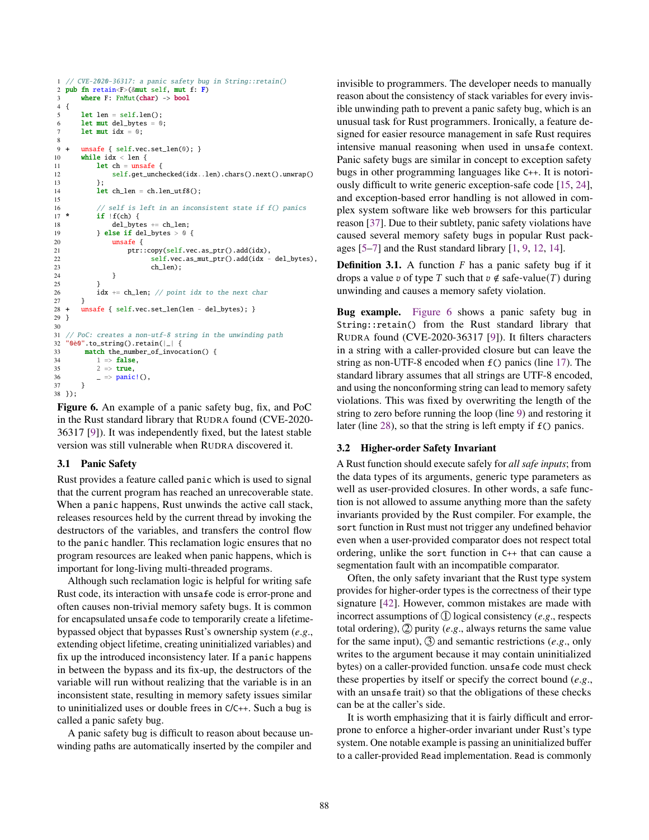```
1 // CVE-2020-36317: a panic safety bug in String::retain()
2 pub fn retain<F>(\&mut self, mut f: F)<br>3 where F: FnMut(char) -> bool
       where F: FnMut(char) \rightarrow bool4 {
5 let len = self.len();
6 let mut del_bytes = 0;
      let mut idx = 0;
8
  9 + unsafe { self.vec.set_len(0); }
10 while idx < len {
11 let ch = unsafe {
12 self.get_unchecked(idx..len).chars().next().unwrap()
13 };
14 let \text{ ch\_len} = \text{ ch.len\_utf8}();
15
16 // self is left in an inconsistent state if f() panics
17 * if |f(ch)|18 del_bytes += ch_len;
19 \qquad } else if del bytes > 0 {
20 unsafe {
21 ptr::copy(self.vec.as_ptr().add(idx),
22 self.vec.as_mut_ptr().add(idx - del_bytes),
\begin{array}{ccc} 23 & & \mathrm{ch}\_ \mathrm{len})\,; \\ 24 & & \end{array}24 }
25 }
26 idx += ch_len; // point idx to the next char
27 }
28 + unsafe { self.vec.set_len(len - del_bytes); }
29 }
30
31 // PoC: creates a non-utf-8 string in the unwinding path
32 "0è0".to_string().retain(|_| {
33 match the_number_of_invocation() {<br>34 1 =>  false.
           1 \Rightarrow false.
35 2 \Rightarrow \text{true},<br>36 \Rightarrow \text{panic}= \Rightarrow panic!(),
37 }
38 });
```
Figure 6. An example of a panic safety bug, fix, and PoC in the Rust standard library that RUDRA found (CVE-2020- 36317 [\[9\]](#page-14-15)). It was independently fixed, but the latest stable version was still vulnerable when RUDRA discovered it.

#### <span id="page-4-1"></span>3.1 Panic Safety

Rust provides a feature called panic which is used to signal that the current program has reached an unrecoverable state. When a panic happens, Rust unwinds the active call stack, releases resources held by the current thread by invoking the destructors of the variables, and transfers the control flow to the panic handler. This reclamation logic ensures that no program resources are leaked when panic happens, which is important for long-living multi-threaded programs.

Although such reclamation logic is helpful for writing safe Rust code, its interaction with unsafe code is error-prone and often causes non-trivial memory safety bugs. It is common for encapsulated unsafe code to temporarily create a lifetimebypassed object that bypasses Rust's ownership system (*e*.*g*., extending object lifetime, creating uninitialized variables) and fix up the introduced inconsistency later. If a panic happens in between the bypass and its fix-up, the destructors of the variable will run without realizing that the variable is in an inconsistent state, resulting in memory safety issues similar to uninitialized uses or double frees in C/C++. Such a bug is called a panic safety bug.

A panic safety bug is difficult to reason about because unwinding paths are automatically inserted by the compiler and

invisible to programmers. The developer needs to manually reason about the consistency of stack variables for every invisible unwinding path to prevent a panic safety bug, which is an unusual task for Rust programmers. Ironically, a feature designed for easier resource management in safe Rust requires intensive manual reasoning when used in unsafe context. Panic safety bugs are similar in concept to exception safety bugs in other programming languages like C++. It is notoriously difficult to write generic exception-safe code [\[15,](#page-14-16) [24\]](#page-14-17), and exception-based error handling is not allowed in complex system software like web browsers for this particular reason [\[37\]](#page-14-18). Due to their subtlety, panic safety violations have caused several memory safety bugs in popular Rust packages  $[5-7]$  $[5-7]$  and the Rust standard library  $[1, 9, 12, 14]$  $[1, 9, 12, 14]$  $[1, 9, 12, 14]$  $[1, 9, 12, 14]$  $[1, 9, 12, 14]$  $[1, 9, 12, 14]$  $[1, 9, 12, 14]$ .

**Definition 3.1.** A function  $F$  has a panic safety bug if it drops a value v of type T such that  $v \notin \text{safe-value}(T)$  during unwinding and causes a memory safety violation.

Bug example. [Figure 6](#page-4-0) shows a panic safety bug in String::retain() from the Rust standard library that RUDRA found (CVE-2020-36317 [\[9\]](#page-14-15)). It filters characters in a string with a caller-provided closure but can leave the string as non-UTF-8 encoded when f() panics (line [17\)](#page-4-0). The standard library assumes that all strings are UTF-8 encoded, and using the nonconforming string can lead to memory safety violations. This was fixed by overwriting the length of the string to zero before running the loop (line [9\)](#page-4-0) and restoring it later (line [28\)](#page-4-0), so that the string is left empty if f() panics.

#### <span id="page-4-2"></span>3.2 Higher-order Safety Invariant

A Rust function should execute safely for *all safe inputs*; from the data types of its arguments, generic type parameters as well as user-provided closures. In other words, a safe function is not allowed to assume anything more than the safety invariants provided by the Rust compiler. For example, the sort function in Rust must not trigger any undefined behavior even when a user-provided comparator does not respect total ordering, unlike the sort function in C++ that can cause a segmentation fault with an incompatible comparator.

Often, the only safety invariant that the Rust type system provides for higher-order types is the correctness of their type signature [\[42\]](#page-15-18). However, common mistakes are made with incorrect assumptions of  $(1)$  logical consistency (*e.g.*, respects total ordering), 2 purity (*e*.*g*., always returns the same value for the same input), 3 and semantic restrictions (*e*.*g*., only writes to the argument because it may contain uninitialized bytes) on a caller-provided function. unsafe code must check these properties by itself or specify the correct bound (*e*.*g*., with an unsafe trait) so that the obligations of these checks can be at the caller's side.

It is worth emphasizing that it is fairly difficult and errorprone to enforce a higher-order invariant under Rust's type system. One notable example is passing an uninitialized buffer to a caller-provided Read implementation. Read is commonly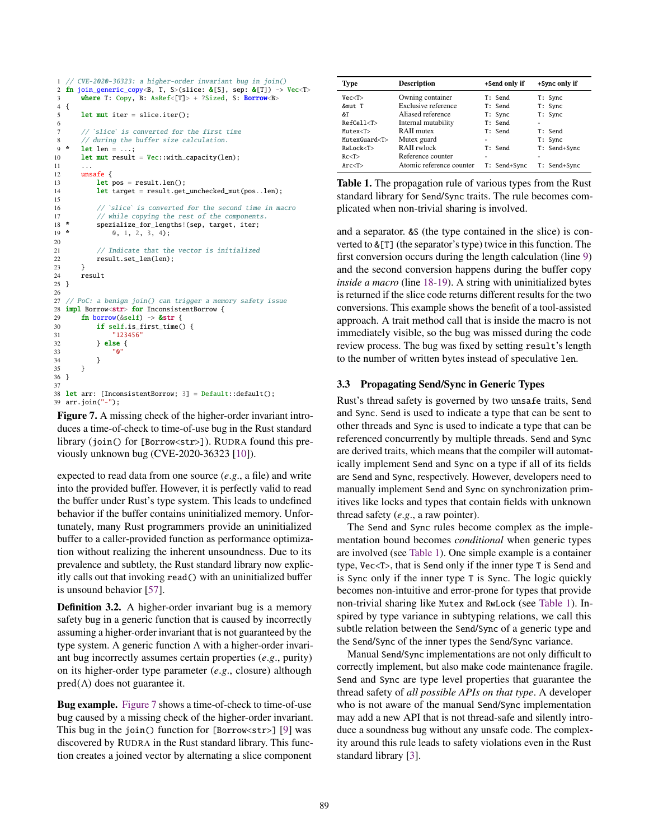```
1 // CVE-2020-36323: a higher-order invariant bug in join()
2 fn join_generic_copy<B, T, S>(slice: &[S], sep: &[T]) -> Vec<T><br>3 where T: Copy. B: AsRef<[T]> + ?Sized. S: Borrow<B>
       where T: Copy, B: AsRef < [T] > + ?Sized, S: Borrow<B>
4 {
5 let mut iter = slice.iter();
6
7 // `slice` is converted for the first time \frac{8}{7} // during the buffer size calculation.
8 // during the buffer size calculation.<br>9 * let len = ...:
       let len = \ldots;
10 let mut result = Vec::with\_capacity(len);11
12 unsafe {
13 let pos = result.length();
14 let target = result.get unchecked mut(pos..len):
15
16 // `slice` is converted for the second time in macro
17 // while copying the rest of the components.<br>18 * spezialize for lengths! (sep. target. iter:
18 * spezialize_for_lengths!(sep, target, iter;
19 \times 0, 1, 2, 3, 4;
20
21 // Indicate that the vector is initialized
22 result.set_len(len);
23 }
24 result
25 }
26
27 // PoC: a benign join() can trigger a memory safety issue
28 impl Borrow<str> for InconsistentBorrow {
29 fn borrow(\&self) -> \&str30 if self.is_first_time() {
31 "123456"
32 } else {
33 "0"
34 }
35 }
36 }
37
38 let arr: [InconsistentBorrow; 3] = Default::default();
39 arr.join("-");
```
Figure 7. A missing check of the higher-order invariant introduces a time-of-check to time-of-use bug in the Rust standard library (join() for [Borrow<str>]). RUDRA found this previously unknown bug (CVE-2020-36323 [\[10\]](#page-14-24)).

expected to read data from one source (*e*.*g*., a file) and write into the provided buffer. However, it is perfectly valid to read the buffer under Rust's type system. This leads to undefined behavior if the buffer contains uninitialized memory. Unfortunately, many Rust programmers provide an uninitialized buffer to a caller-provided function as performance optimization without realizing the inherent unsoundness. Due to its prevalence and subtlety, the Rust standard library now explicitly calls out that invoking read() with an uninitialized buffer is unsound behavior [\[57\]](#page-15-19).

Definition 3.2. A higher-order invariant bug is a memory safety bug in a generic function that is caused by incorrectly assuming a higher-order invariant that is not guaranteed by the type system. A generic function  $\Lambda$  with a higher-order invariant bug incorrectly assumes certain properties (*e*.*g*., purity) on its higher-order type parameter (*e*.*g*., closure) although  $pred(\Lambda)$  does not guarantee it.

Bug example. [Figure 7](#page-5-0) shows a time-of-check to time-of-use bug caused by a missing check of the higher-order invariant. This bug in the join() function for [Borrow<str>] [\[9\]](#page-14-15) was discovered by RUDRA in the Rust standard library. This function creates a joined vector by alternating a slice component

<span id="page-5-1"></span>

| <b>Type</b>      | <b>Description</b>       | +Send only if | +Sync only if |
|------------------|--------------------------|---------------|---------------|
| Vec <sub>T</sub> | Owning container         | T: Send       | T: Sync       |
| &mut T           | Exclusive reference      | T: Send       | T: Sync       |
| &T               | Aliased reference        | T: Sync       | T: Sync       |
| RefCel1 < T      | Internal mutability      | T: Send       | ۰             |
| Mutzex < T       | RAII mutex               | T: Send       | T: Send       |
| MutzexGuard < T> | Mutex guard              |               | T: Sync       |
| RwLock < T       | RAII rwlock              | T: Send       | T: Send+Sync  |
| Rc < T           | Reference counter        | ۰             |               |
| Arc < T          | Atomic reference counter | T: Send+Sync  | T: Send+Sync  |

Table 1. The propagation rule of various types from the Rust standard library for Send/Sync traits. The rule becomes complicated when non-trivial sharing is involved.

and a separator. &S (the type contained in the slice) is converted to &[T] (the separator's type) twice in this function. The first conversion occurs during the length calculation (line [9\)](#page-5-0) and the second conversion happens during the buffer copy *inside a macro* (line [18-19\)](#page-5-0). A string with uninitialized bytes is returned if the slice code returns different results for the two conversions. This example shows the benefit of a tool-assisted approach. A trait method call that is inside the macro is not immediately visible, so the bug was missed during the code review process. The bug was fixed by setting result's length to the number of written bytes instead of speculative len.

## 3.3 Propagating Send/Sync in Generic Types

Rust's thread safety is governed by two unsafe traits, Send and Sync. Send is used to indicate a type that can be sent to other threads and Sync is used to indicate a type that can be referenced concurrently by multiple threads. Send and Sync are derived traits, which means that the compiler will automatically implement Send and Sync on a type if all of its fields are Send and Sync, respectively. However, developers need to manually implement Send and Sync on synchronization primitives like locks and types that contain fields with unknown thread safety (*e*.*g*., a raw pointer).

The Send and Sync rules become complex as the implementation bound becomes *conditional* when generic types are involved (see [Table 1\)](#page-5-1). One simple example is a container type, Vec<T>, that is Send only if the inner type T is Send and is Sync only if the inner type T is Sync. The logic quickly becomes non-intuitive and error-prone for types that provide non-trivial sharing like Mutex and RwLock (see [Table 1\)](#page-5-1). Inspired by type variance in subtyping relations, we call this subtle relation between the Send/Sync of a generic type and the Send/Sync of the inner types the Send/Sync variance.

Manual Send/Sync implementations are not only difficult to correctly implement, but also make code maintenance fragile. Send and Sync are type level properties that guarantee the thread safety of *all possible APIs on that type*. A developer who is not aware of the manual Send/Sync implementation may add a new API that is not thread-safe and silently introduce a soundness bug without any unsafe code. The complexity around this rule leads to safety violations even in the Rust standard library [\[3\]](#page-14-25).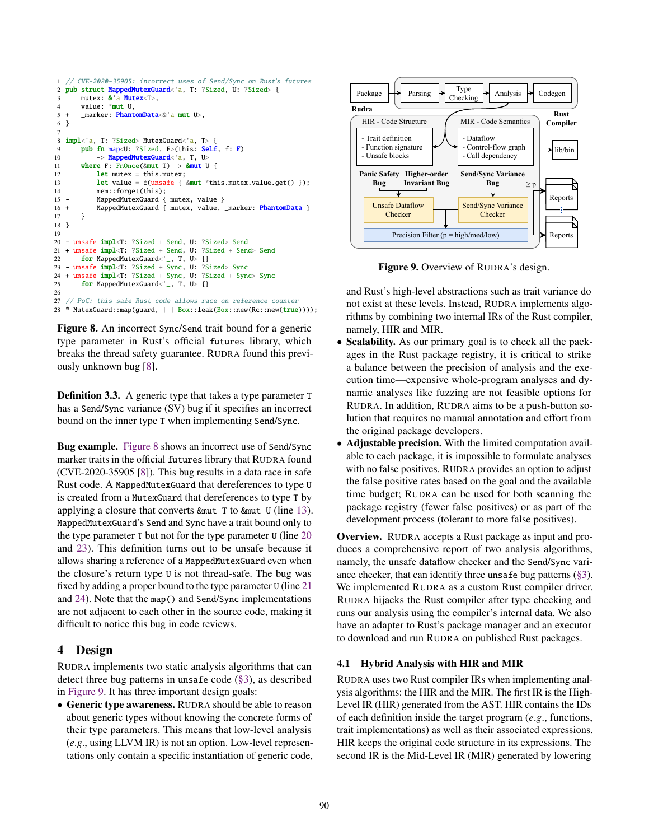```
1 // CVE-2020-35905: incorrect uses of Send/Sync on Rust's futures
2 pub struct MappedMutexGuard<'a, T: ?Sized, U: ?Sized> {
3 mutex: \& a Mutex<T>,<br>4 value: *mut U.
       value: *mut U.
5 + _marker: \frac{\text{PhantomData} < \& \text{'a mut U>}}{6},
6 }
 7
8 impl<'a, T: ?Sized> MutexGuard<'a, T> {
9 pub fn map<U: ?Sized, F>(this: Self, f: F)
10 -> MappedMutexGuard<'a, T, U>
11 where F: FnOnce(&mut T) -> &mut U {
12 let mutex = this.mutex;
13 let value = f(unsafe { &mut *this.mutex.value.get() });
14 mem::forget(this);
15 - MappedMutexGuard { mutex, value }
16 + MappedMutexGuard { mutex, value, _marker: PhantomData }
17 }
18 }
19
20 - unsafe impl<T: ?Sized + Send, U: ?Sized> Send
21 + unsafe impl<T: ?Sized + Send, U: ?Sized + Send> Send
22 for MappedMutexGuard<'_, T, U> {}
23 - unsafe impl<T: ?Sized + Sync, U: ?Sized> Sync
24 + unsafe impl<T: ?Sized + Sync, U: ?Sized + Sync> Sync<br>25 for MannedMutexGuard<' T, U> \{3\}for MappedMutexGuard<'_, T, U> {}
26
27 // PoC: this safe Rust code allows race on reference counter
28 * MutexGuard::map(guard, | | Box::leak(Box::new(Rc::new(true))));
```
Figure 8. An incorrect Sync/Send trait bound for a generic type parameter in Rust's official futures library, which breaks the thread safety guarantee. RUDRA found this previously unknown bug [\[8\]](#page-14-26).

Definition 3.3. A generic type that takes a type parameter T has a Send/Sync variance (SV) bug if it specifies an incorrect bound on the inner type T when implementing Send/Sync.

Bug example. [Figure 8](#page-6-0) shows an incorrect use of Send/Sync marker traits in the official futures library that RUDRA found (CVE-2020-35905 [\[8\]](#page-14-26)). This bug results in a data race in safe Rust code. A MappedMutexGuard that dereferences to type U is created from a MutexGuard that dereferences to type T by applying a closure that converts &mut T to &mut U (line [13\)](#page-6-0). MappedMutexGuard's Send and Sync have a trait bound only to the type parameter T but not for the type parameter U (line [20](#page-6-0) and [23\)](#page-6-0). This definition turns out to be unsafe because it allows sharing a reference of a MappedMutexGuard even when the closure's return type U is not thread-safe. The bug was fixed by adding a proper bound to the type parameter U (line [21](#page-6-0) and [24\)](#page-6-0). Note that the map() and Send/Sync implementations are not adjacent to each other in the source code, making it difficult to notice this bug in code reviews.

## 4 Design

RUDRA implements two static analysis algorithms that can detect three bug patterns in unsafe code [\(§3\)](#page-3-1), as described in [Figure 9.](#page-6-1) It has three important design goals:

• Generic type awareness. RUDRA should be able to reason about generic types without knowing the concrete forms of their type parameters. This means that low-level analysis (*e*.*g*., using LLVM IR) is not an option. Low-level representations only contain a specific instantiation of generic code,

<span id="page-6-1"></span>

Figure 9. Overview of RUDRA's design.

and Rust's high-level abstractions such as trait variance do not exist at these levels. Instead, RUDRA implements algorithms by combining two internal IRs of the Rust compiler, namely, HIR and MIR.

- Scalability. As our primary goal is to check all the packages in the Rust package registry, it is critical to strike a balance between the precision of analysis and the execution time—expensive whole-program analyses and dynamic analyses like fuzzing are not feasible options for RUDRA. In addition, RUDRA aims to be a push-button solution that requires no manual annotation and effort from the original package developers.
- Adjustable precision. With the limited computation available to each package, it is impossible to formulate analyses with no false positives. RUDRA provides an option to adjust the false positive rates based on the goal and the available time budget; RUDRA can be used for both scanning the package registry (fewer false positives) or as part of the development process (tolerant to more false positives).

Overview. RUDRA accepts a Rust package as input and produces a comprehensive report of two analysis algorithms, namely, the unsafe dataflow checker and the Send/Sync variance checker, that can identify three unsafe bug patterns  $(\S 3)$ . We implemented RUDRA as a custom Rust compiler driver. RUDRA hijacks the Rust compiler after type checking and runs our analysis using the compiler's internal data. We also have an adapter to Rust's package manager and an executor to download and run RUDRA on published Rust packages.

## 4.1 Hybrid Analysis with HIR and MIR

RUDRA uses two Rust compiler IRs when implementing analysis algorithms: the HIR and the MIR. The first IR is the High-Level IR (HIR) generated from the AST. HIR contains the IDs of each definition inside the target program (*e*.*g*., functions, trait implementations) as well as their associated expressions. HIR keeps the original code structure in its expressions. The second IR is the Mid-Level IR (MIR) generated by lowering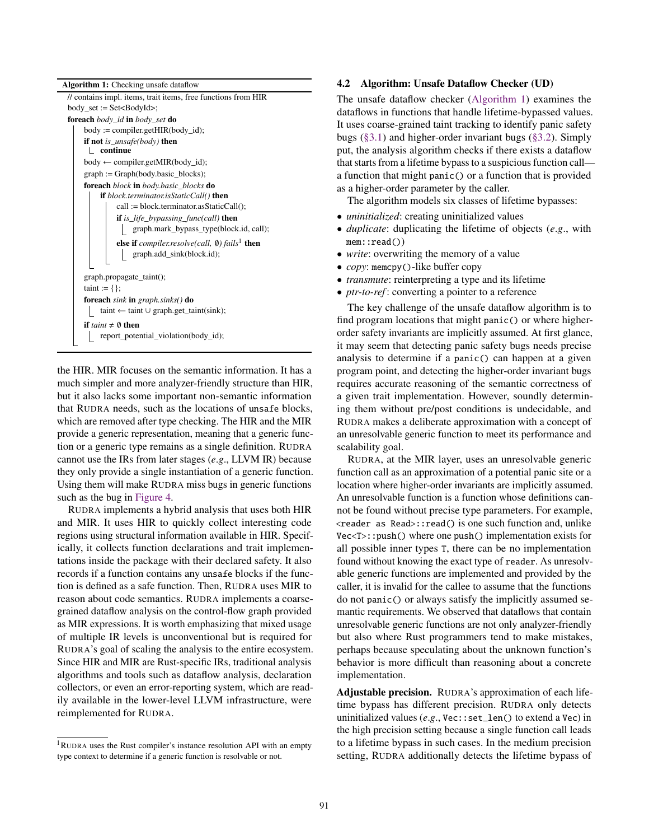| <b>Algorithm 1:</b> Checking unsafe dataflow                  |  |  |  |  |  |  |  |
|---------------------------------------------------------------|--|--|--|--|--|--|--|
| // contains impl. items, trait items, free functions from HIR |  |  |  |  |  |  |  |
| $body_set := Set < BodyId>$ ;                                 |  |  |  |  |  |  |  |
| <b>foreach</b> body_id <b>in</b> body_set <b>do</b>           |  |  |  |  |  |  |  |
| $body := compiler.getHIR(body_id);$                           |  |  |  |  |  |  |  |
| <b>if not</b> is_unsafe(body) <b>then</b><br>continue         |  |  |  |  |  |  |  |
| $body \leftarrow compiler.getMIR(body_id);$                   |  |  |  |  |  |  |  |
| $graph := Graph(body.basic_blocks);$                          |  |  |  |  |  |  |  |
| <b>foreach</b> block in body.basic_blocks <b>do</b>           |  |  |  |  |  |  |  |
| <b>if</b> block.terminator.isStaticCall() <b>then</b>         |  |  |  |  |  |  |  |
| call := block.terminator.asStaticCall();                      |  |  |  |  |  |  |  |
| <b>if</b> is_life_bypassing_func(call) <b>then</b>            |  |  |  |  |  |  |  |
| graph.mark_bypass_type(block.id, call);                       |  |  |  |  |  |  |  |
| else if $complier. resolve(call, \emptyset) fails^1$ then     |  |  |  |  |  |  |  |
| graph.add_sink(block.id);                                     |  |  |  |  |  |  |  |
|                                                               |  |  |  |  |  |  |  |
| graph.propagate_taint();                                      |  |  |  |  |  |  |  |
| $taint := \{\};$                                              |  |  |  |  |  |  |  |
| <b>foreach</b> sink in graph.sinks() <b>do</b>                |  |  |  |  |  |  |  |
| taint $\leftarrow$ taint $\cup$ graph.get_taint(sink);        |  |  |  |  |  |  |  |
| if taint $\neq \emptyset$ then                                |  |  |  |  |  |  |  |
| report_potential_violation(body_id);                          |  |  |  |  |  |  |  |

<span id="page-7-0"></span>the HIR. MIR focuses on the semantic information. It has a much simpler and more analyzer-friendly structure than HIR, but it also lacks some important non-semantic information that RUDRA needs, such as the locations of unsafe blocks, which are removed after type checking. The HIR and the MIR provide a generic representation, meaning that a generic function or a generic type remains as a single definition. RUDRA cannot use the IRs from later stages (*e*.*g*., LLVM IR) because they only provide a single instantiation of a generic function. Using them will make RUDRA miss bugs in generic functions such as the bug in [Figure 4.](#page-2-0)

RUDRA implements a hybrid analysis that uses both HIR and MIR. It uses HIR to quickly collect interesting code regions using structural information available in HIR. Specifically, it collects function declarations and trait implementations inside the package with their declared safety. It also records if a function contains any unsafe blocks if the function is defined as a safe function. Then, RUDRA uses MIR to reason about code semantics. RUDRA implements a coarsegrained dataflow analysis on the control-flow graph provided as MIR expressions. It is worth emphasizing that mixed usage of multiple IR levels is unconventional but is required for RUDRA's goal of scaling the analysis to the entire ecosystem. Since HIR and MIR are Rust-specific IRs, traditional analysis algorithms and tools such as dataflow analysis, declaration collectors, or even an error-reporting system, which are readily available in the lower-level LLVM infrastructure, were reimplemented for RUDRA.

#### 4.2 Algorithm: Unsafe Dataflow Checker (UD)

The unsafe dataflow checker [\(Algorithm 1\)](#page-7-0) examines the dataflows in functions that handle lifetime-bypassed values. It uses coarse-grained taint tracking to identify panic safety bugs [\(§3.1\)](#page-4-1) and higher-order invariant bugs [\(§3.2\)](#page-4-2). Simply put, the analysis algorithm checks if there exists a dataflow that starts from a lifetime bypass to a suspicious function call a function that might panic() or a function that is provided as a higher-order parameter by the caller.

The algorithm models six classes of lifetime bypasses:

- *uninitialized*: creating uninitialized values
- *duplicate*: duplicating the lifetime of objects (*e*.*g*., with mem::read())
- *write*: overwriting the memory of a value
- *copy*: memcpy()-like buffer copy
- *transmute*: reinterpreting a type and its lifetime
- *ptr-to-ref* : converting a pointer to a reference

The key challenge of the unsafe dataflow algorithm is to find program locations that might panic() or where higherorder safety invariants are implicitly assumed. At first glance, it may seem that detecting panic safety bugs needs precise analysis to determine if a panic() can happen at a given program point, and detecting the higher-order invariant bugs requires accurate reasoning of the semantic correctness of a given trait implementation. However, soundly determining them without pre/post conditions is undecidable, and RUDRA makes a deliberate approximation with a concept of an unresolvable generic function to meet its performance and scalability goal.

RUDRA, at the MIR layer, uses an unresolvable generic function call as an approximation of a potential panic site or a location where higher-order invariants are implicitly assumed. An unresolvable function is a function whose definitions cannot be found without precise type parameters. For example, <reader as Read>::read() is one such function and, unlike Vec<T>::push() where one push() implementation exists for all possible inner types T, there can be no implementation found without knowing the exact type of reader. As unresolvable generic functions are implemented and provided by the caller, it is invalid for the callee to assume that the functions do not panic() or always satisfy the implicitly assumed semantic requirements. We observed that dataflows that contain unresolvable generic functions are not only analyzer-friendly but also where Rust programmers tend to make mistakes, perhaps because speculating about the unknown function's behavior is more difficult than reasoning about a concrete implementation.

Adjustable precision. RUDRA's approximation of each lifetime bypass has different precision. RUDRA only detects uninitialized values (*e*.*g*., Vec::set\_len() to extend a Vec) in the high precision setting because a single function call leads to a lifetime bypass in such cases. In the medium precision setting, RUDRA additionally detects the lifetime bypass of

<sup>1</sup>RUDRA uses the Rust compiler's instance resolution API with an empty type context to determine if a generic function is resolvable or not.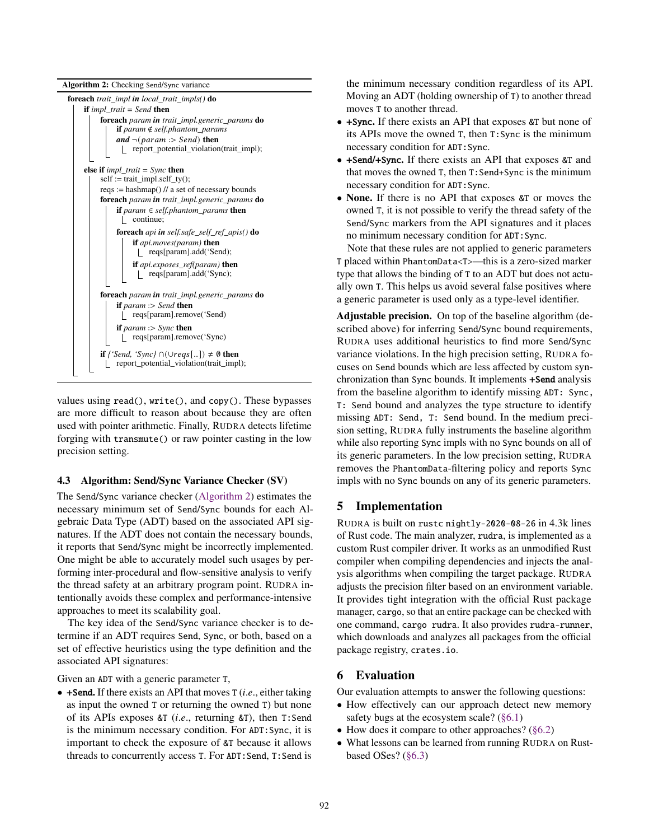<span id="page-8-0"></span>

values using read(), write(), and copy(). These bypasses are more difficult to reason about because they are often used with pointer arithmetic. Finally, RUDRA detects lifetime forging with transmute() or raw pointer casting in the low precision setting.

#### 4.3 Algorithm: Send/Sync Variance Checker (SV)

The Send/Sync variance checker [\(Algorithm 2\)](#page-8-0) estimates the necessary minimum set of Send/Sync bounds for each Algebraic Data Type (ADT) based on the associated API signatures. If the ADT does not contain the necessary bounds, it reports that Send/Sync might be incorrectly implemented. One might be able to accurately model such usages by performing inter-procedural and flow-sensitive analysis to verify the thread safety at an arbitrary program point. RUDRA intentionally avoids these complex and performance-intensive approaches to meet its scalability goal.

The key idea of the Send/Sync variance checker is to determine if an ADT requires Send, Sync, or both, based on a set of effective heuristics using the type definition and the associated API signatures:

Given an ADT with a generic parameter T,

• +Send. If there exists an API that moves T (*i*.*e*., either taking as input the owned T or returning the owned T) but none of its APIs exposes &T (*i*.*e*., returning &T), then T:Send is the minimum necessary condition. For ADT:Sync, it is important to check the exposure of &T because it allows threads to concurrently access T. For ADT:Send, T:Send is the minimum necessary condition regardless of its API. Moving an ADT (holding ownership of T) to another thread moves T to another thread.

- +Sync. If there exists an API that exposes &T but none of its APIs move the owned T, then T:Sync is the minimum necessary condition for ADT:Sync.
- +Send/+Sync. If there exists an API that exposes &T and that moves the owned T, then T:Send+Sync is the minimum necessary condition for ADT:Sync.
- None. If there is no API that exposes &T or moves the owned T, it is not possible to verify the thread safety of the Send/Sync markers from the API signatures and it places no minimum necessary condition for ADT:Sync.

Note that these rules are not applied to generic parameters T placed within PhantomData<T>—this is a zero-sized marker type that allows the binding of T to an ADT but does not actually own T. This helps us avoid several false positives where a generic parameter is used only as a type-level identifier.

Adjustable precision. On top of the baseline algorithm (described above) for inferring Send/Sync bound requirements, RUDRA uses additional heuristics to find more Send/Sync variance violations. In the high precision setting, RUDRA focuses on Send bounds which are less affected by custom synchronization than Sync bounds. It implements +Send analysis from the baseline algorithm to identify missing ADT: Sync, T: Send bound and analyzes the type structure to identify missing ADT: Send, T: Send bound. In the medium precision setting, RUDRA fully instruments the baseline algorithm while also reporting Sync impls with no Sync bounds on all of its generic parameters. In the low precision setting, RUDRA removes the PhantomData-filtering policy and reports Sync impls with no Sync bounds on any of its generic parameters.

## 5 Implementation

RUDRA is built on rustc nightly-2020-08-26 in 4.3k lines of Rust code. The main analyzer, rudra, is implemented as a custom Rust compiler driver. It works as an unmodified Rust compiler when compiling dependencies and injects the analysis algorithms when compiling the target package. RUDRA adjusts the precision filter based on an environment variable. It provides tight integration with the official Rust package manager, cargo, so that an entire package can be checked with one command, cargo rudra. It also provides rudra-runner, which downloads and analyzes all packages from the official package registry, crates.io.

# 6 Evaluation

Our evaluation attempts to answer the following questions:

- How effectively can our approach detect new memory safety bugs at the ecosystem scale? [\(§6.1\)](#page-10-0)
- How does it compare to other approaches? [\(§6.2\)](#page-11-0)
- What lessons can be learned from running RUDRA on Rustbased OSes? [\(§6.3\)](#page-12-0)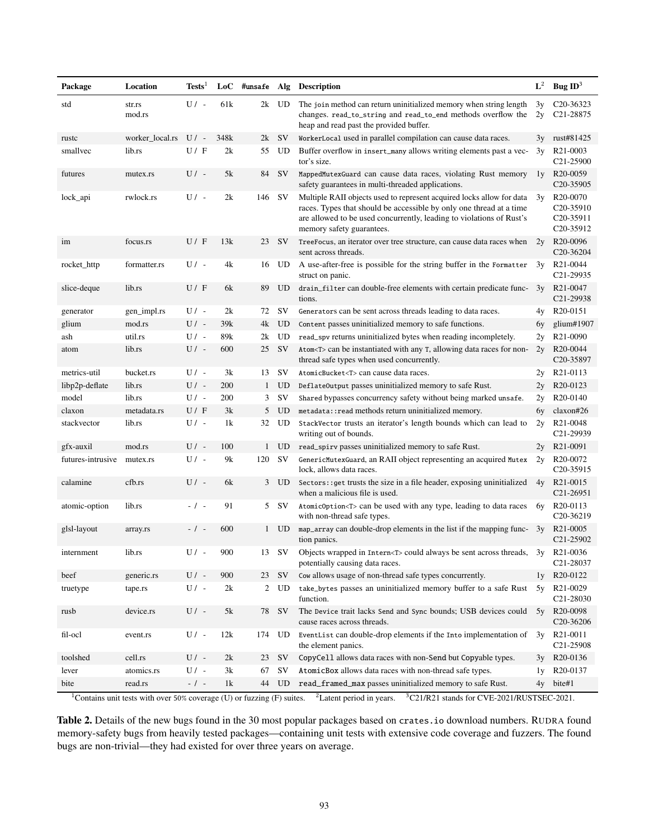<span id="page-9-0"></span>

| Package           | Location         | Tests <sup>1</sup>  | LoC  |              |           | #unsafe Alg Description                                                                                                                                                                                                                           | $L^2$    | Bug $ID3$                                                                                           |
|-------------------|------------------|---------------------|------|--------------|-----------|---------------------------------------------------------------------------------------------------------------------------------------------------------------------------------------------------------------------------------------------------|----------|-----------------------------------------------------------------------------------------------------|
| std               | str.rs<br>mod.rs | $U/-$               | 61k  |              | 2k UD     | The join method can return uninitialized memory when string length<br>changes. read_to_string and read_to_end methods overflow the<br>heap and read past the provided buffer.                                                                     | 3y<br>2y | C <sub>20</sub> -36323<br>C <sub>21</sub> -28875                                                    |
| rustc             | worker_local.rs  | $U/-$               | 348k | 2k           | <b>SV</b> | WorkerLocal used in parallel compilation can cause data races.                                                                                                                                                                                    | 3y       | rust#81425                                                                                          |
| smallvec          | lib.rs           | U / F               | 2k   | 55           | $\rm UD$  | Buffer overflow in insert_many allows writing elements past a vec-<br>tor's size.                                                                                                                                                                 | 3y       | R <sub>21</sub> -0003<br>C <sub>21</sub> -25900                                                     |
| futures           | mutex.rs         | $U/-$               | 5k   |              | 84 SV     | MappedMutexGuard can cause data races, violating Rust memory<br>safety guarantees in multi-threaded applications.                                                                                                                                 | 1v       | R <sub>20</sub> -0059<br>C20-35905                                                                  |
| lock_api          | rwlock.rs        | $U/-$               | 2k   | 146          | <b>SV</b> | Multiple RAII objects used to represent acquired locks allow for data<br>races. Types that should be accessible by only one thread at a time<br>are allowed to be used concurrently, leading to violations of Rust's<br>memory safety guarantees. | 3v       | R <sub>20</sub> -0070<br>C <sub>20</sub> -35910<br>C <sub>20</sub> -35911<br>C <sub>20</sub> -35912 |
| im                | focus.rs         | U/F                 | 13k  | 23           | <b>SV</b> | TreeFocus, an iterator over tree structure, can cause data races when<br>sent across threads.                                                                                                                                                     | 2y       | R <sub>20</sub> -0096<br>C <sub>20</sub> -36 <sub>204</sub>                                         |
| rocket_http       | formatter.rs     | $U/-$               | 4k   | 16           | UD        | A use-after-free is possible for the string buffer in the Formatter<br>struct on panic.                                                                                                                                                           | 3y       | R21-0044<br>C <sub>21</sub> -29935                                                                  |
| slice-deque       | lib.rs           | U/F                 | 6k   | 89           | UD        | drain_filter can double-free elements with certain predicate func-<br>tions.                                                                                                                                                                      | 3v       | R <sub>21</sub> -0047<br>C <sub>21</sub> -29938                                                     |
| generator         | gen_impl.rs      | $U/-$               | 2k   | 72           | <b>SV</b> | Generators can be sent across threads leading to data races.                                                                                                                                                                                      | 4y       | R <sub>20</sub> -0151                                                                               |
| glium             | mod.rs           | $U/-$               | 39k  |              | 4k UD     | Content passes uninitialized memory to safe functions.                                                                                                                                                                                            | 6y       | glium#1907                                                                                          |
| ash               | util.rs          | $U/-$               | 89k  | 2k           | UD        | read_spv returns uninitialized bytes when reading incompletely.                                                                                                                                                                                   | 2y       | R <sub>21</sub> -0090                                                                               |
| atom              | lib.rs           | $U/$ -              | 600  | 25           | <b>SV</b> | Atom <t> can be instantiated with any T, allowing data races for non-<br/>thread safe types when used concurrently.</t>                                                                                                                           | 2y       | R <sub>20</sub> -0044<br>C <sub>20</sub> -35897                                                     |
| metrics-util      | bucket.rs        | $U/-$               | 3k   | 13           | SV        | AtomicBucket <t> can cause data races.</t>                                                                                                                                                                                                        | 2y       | R <sub>21</sub> -0113                                                                               |
| libp2p-deflate    | lib.rs           | $U/-$               | 200  | $\mathbf{1}$ | UD        | DeflateOutput passes uninitialized memory to safe Rust.                                                                                                                                                                                           | 2y       | R <sub>20</sub> -0123                                                                               |
| model             | lib.rs           | $U/$ -              | 200  | 3            | SV        | Shared bypasses concurrency safety without being marked unsafe.                                                                                                                                                                                   | 2y       | R <sub>20</sub> -0140                                                                               |
| claxon            | metadata.rs      | U / F               | 3k   | 5            | UD        | metadata::read methods return uninitialized memory.                                                                                                                                                                                               | 6y       | claxon#26                                                                                           |
| stackvector       | lib.rs           | $U/-$               | 1k   | 32           | UD        | StackVector trusts an iterator's length bounds which can lead to<br>writing out of bounds.                                                                                                                                                        | 2y       | R <sub>21</sub> -0048<br>C <sub>21</sub> -29939                                                     |
| gfx-auxil         | mod.rs           | $U/-$               | 100  | $\mathbf{1}$ | <b>UD</b> | read_spirv passes uninitialized memory to safe Rust.                                                                                                                                                                                              | 2y       | R <sub>21</sub> -0091                                                                               |
| futures-intrusive | mutex.rs         | $U/$ -              | 9k   | 120          | SV        | GenericMutexGuard, an RAII object representing an acquired Mutex<br>lock, allows data races.                                                                                                                                                      | 2y       | R <sub>20</sub> -0072<br>C <sub>20</sub> -35915                                                     |
| calamine          | cfb.rs           | $U/-$               | 6k   | 3            | <b>UD</b> | Sectors: : get trusts the size in a file header, exposing uninitialized<br>when a malicious file is used.                                                                                                                                         | 4y       | R <sub>21</sub> -0015<br>C <sub>21</sub> -26951                                                     |
| atomic-option     | lib.rs           | $-$ / $-$           | 91   | 5            | SV        | AtomicOption <t> can be used with any type, leading to data races<br/>with non-thread safe types.</t>                                                                                                                                             | 6y       | R <sub>20</sub> -0113<br>C <sub>20</sub> -36219                                                     |
| glsl-layout       | array.rs         | $-$ / $-$           | 600  |              | $1$ UD    | map_array can double-drop elements in the list if the mapping func- 3y<br>tion panics.                                                                                                                                                            |          | R <sub>21</sub> -0005<br>C <sub>21</sub> -2590 <sub>2</sub>                                         |
| internment        | lib.rs           | U/                  | 900  | 13           | SV        | Objects wrapped in Intern <t> could always be sent across threads, 3y<br/>potentially causing data races.</t>                                                                                                                                     |          | R21-0036<br>C <sub>21</sub> -28037                                                                  |
| beef              | generic.rs       | $U/$ -              | 900  | 23           | SV        | Cow allows usage of non-thread safe types concurrently.                                                                                                                                                                                           | 1y       | R <sub>20</sub> -0122                                                                               |
| truetype          | tape.rs          | $\mathrm{U}\,/\,$ - | 2k   | $\mathbf{2}$ | UD        | take_bytes passes an uninitialized memory buffer to a safe Rust<br>function.                                                                                                                                                                      | 5y       | R <sub>21</sub> -0029<br>C <sub>21</sub> -28030                                                     |
| rusb              | device.rs        | $U/$ -              | 5k   |              | 78 SV     | The Device trait lacks Send and Sync bounds; USB devices could<br>cause races across threads.                                                                                                                                                     | 5y       | R20-0098<br>C <sub>20</sub> -36 <sub>206</sub>                                                      |
| fil-ocl           | event.rs         | $U/$ -              | 12k  | 174          | UD        | EventList can double-drop elements if the Into implementation of<br>the element panics.                                                                                                                                                           | 3y       | R <sub>21</sub> -0011<br>C21-25908                                                                  |
| toolshed          | cell.rs          | $U/-$               | 2k   | 23           | <b>SV</b> | CopyCell allows data races with non-Send but Copyable types.                                                                                                                                                                                      | 3y       | R20-0136                                                                                            |
| lever             | atomics.rs       | $U/-$               | 3k   | 67           | SV        | AtomicBox allows data races with non-thread safe types.                                                                                                                                                                                           | 1y       | R20-0137                                                                                            |
| bite              | read.rs          | $-$ / $-$           | 1k   |              | 44 UD     | read_framed_max passes uninitialized memory to safe Rust.                                                                                                                                                                                         | 4y       | bite#1                                                                                              |

<sup>1</sup>Contains unit tests with over 50% coverage (U) or fuzzing (F) suites. <sup>2</sup>Latent period in years. <sup>3</sup>C21/R21 stands for CVE-2021/RUSTSEC-2021.

Table 2. Details of the new bugs found in the 30 most popular packages based on crates.io download numbers. RUDRA found memory-safety bugs from heavily tested packages—containing unit tests with extensive code coverage and fuzzers. The found bugs are non-trivial—they had existed for over three years on average.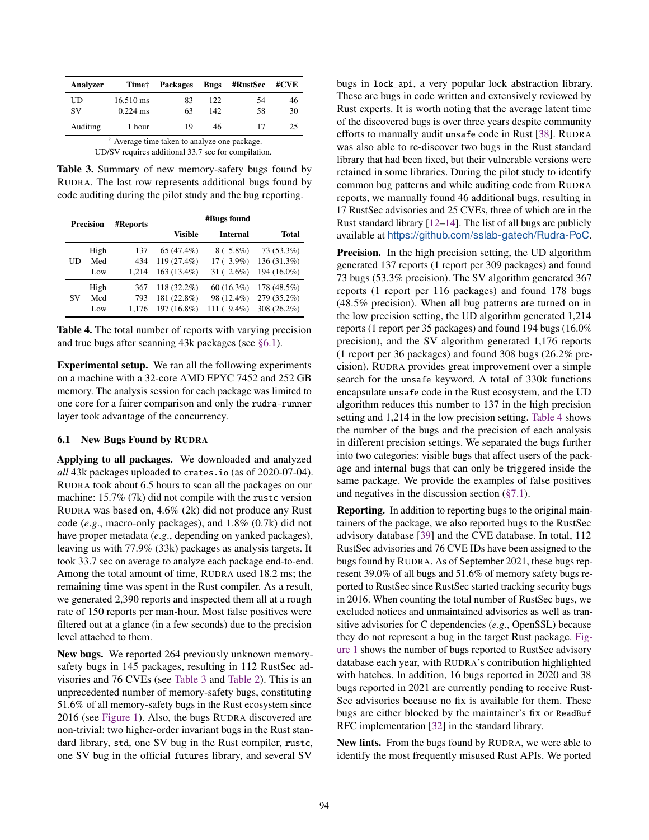<span id="page-10-1"></span>

| Analyzer                                                                                                     | Time†               | <b>Packages</b> | <b>Bugs</b> | #RustSec | #CVE |  |  |  |
|--------------------------------------------------------------------------------------------------------------|---------------------|-----------------|-------------|----------|------|--|--|--|
| UD                                                                                                           | $16.510 \text{ ms}$ | 83              | 122.        | 54       | 46   |  |  |  |
| <b>SV</b>                                                                                                    | $0.224$ ms          | 63              | 142         | 58       | 30   |  |  |  |
| Auditing                                                                                                     | 1 hour              | 19              | 46          |          | 25   |  |  |  |
| $\uparrow$ Average time taken to analyze one package.<br>UD/SV requires additional 33.7 sec for compilation. |                     |                 |             |          |      |  |  |  |

Table 3. Summary of new memory-safety bugs found by RUDRA. The last row represents additional bugs found by code auditing during the pilot study and the bug reporting.

<span id="page-10-2"></span>

|    | <b>Precision</b> | <b>#Reports</b> | #Bugs found |                 |              |  |  |
|----|------------------|-----------------|-------------|-----------------|--------------|--|--|
|    |                  |                 | Visible     | <b>Internal</b> | <b>Total</b> |  |  |
| UD | High             | 137             | 65 (47.4%)  | $8(.5.8\%)$     | 73 (53.3%)   |  |  |
|    | Med              | 434             | 119 (27.4%) | $17(3.9\%)$     | 136 (31.3%)  |  |  |
|    | Low              | 1.214           | 163 (13.4%) | $31(2.6\%)$     | 194 (16.0%)  |  |  |
| SV | High             | 367             | 118 (32.2%) | $60(16.3\%)$    | 178 (48.5%)  |  |  |
|    | Med              | 793             | 181 (22.8%) | 98 (12.4%)      | 279 (35.2%)  |  |  |
|    | Low              | 1.176           | 197 (16.8%) | $111(9.4\%)$    | 308 (26.2%)  |  |  |

Table 4. The total number of reports with varying precision and true bugs after scanning 43k packages (see [§6.1\)](#page-10-0).

Experimental setup. We ran all the following experiments on a machine with a 32-core AMD EPYC 7452 and 252 GB memory. The analysis session for each package was limited to one core for a fairer comparison and only the rudra-runner layer took advantage of the concurrency.

#### <span id="page-10-0"></span>6.1 New Bugs Found by RUDRA

Applying to all packages. We downloaded and analyzed *all* 43k packages uploaded to crates.io (as of 2020-07-04). RUDRA took about 6.5 hours to scan all the packages on our machine: 15.7% (7k) did not compile with the rust cversion RUDRA was based on, 4.6% (2k) did not produce any Rust code (*e*.*g*., macro-only packages), and 1.8% (0.7k) did not have proper metadata (*e*.*g*., depending on yanked packages), leaving us with 77.9% (33k) packages as analysis targets. It took 33.7 sec on average to analyze each package end-to-end. Among the total amount of time, RUDRA used 18.2 ms; the remaining time was spent in the Rust compiler. As a result, we generated 2,390 reports and inspected them all at a rough rate of 150 reports per man-hour. Most false positives were filtered out at a glance (in a few seconds) due to the precision level attached to them.

New bugs. We reported 264 previously unknown memorysafety bugs in 145 packages, resulting in 112 RustSec advisories and 76 CVEs (see [Table 3](#page-10-1) and [Table 2\)](#page-9-0). This is an unprecedented number of memory-safety bugs, constituting 51.6% of all memory-safety bugs in the Rust ecosystem since 2016 (see [Figure 1\)](#page-0-0). Also, the bugs RUDRA discovered are non-trivial: two higher-order invariant bugs in the Rust standard library, std, one SV bug in the Rust compiler, rustc, one SV bug in the official futures library, and several SV

bugs in lock\_api, a very popular lock abstraction library. These are bugs in code written and extensively reviewed by Rust experts. It is worth noting that the average latent time of the discovered bugs is over three years despite community efforts to manually audit unsafe code in Rust [\[38\]](#page-14-27). RUDRA was also able to re-discover two bugs in the Rust standard library that had been fixed, but their vulnerable versions were retained in some libraries. During the pilot study to identify common bug patterns and while auditing code from RUDRA reports, we manually found 46 additional bugs, resulting in 17 RustSec advisories and 25 CVEs, three of which are in the Rust standard library [\[12–](#page-14-22)[14\]](#page-14-23). The list of all bugs are publicly available at <https://github.com/sslab-gatech/Rudra-PoC>.

Precision. In the high precision setting, the UD algorithm generated 137 reports (1 report per 309 packages) and found 73 bugs (53.3% precision). The SV algorithm generated 367 reports (1 report per 116 packages) and found 178 bugs (48.5% precision). When all bug patterns are turned on in the low precision setting, the UD algorithm generated 1,214 reports (1 report per 35 packages) and found 194 bugs (16.0% precision), and the SV algorithm generated 1,176 reports (1 report per 36 packages) and found 308 bugs (26.2% precision). RUDRA provides great improvement over a simple search for the unsafe keyword. A total of 330k functions encapsulate unsafe code in the Rust ecosystem, and the UD algorithm reduces this number to 137 in the high precision setting and 1,214 in the low precision setting. [Table 4](#page-10-2) shows the number of the bugs and the precision of each analysis in different precision settings. We separated the bugs further into two categories: visible bugs that affect users of the package and internal bugs that can only be triggered inside the same package. We provide the examples of false positives and negatives in the discussion section [\(§7.1\)](#page-12-1).

Reporting. In addition to reporting bugs to the original maintainers of the package, we also reported bugs to the RustSec advisory database [\[39\]](#page-14-0) and the CVE database. In total, 112 RustSec advisories and 76 CVE IDs have been assigned to the bugs found by RUDRA. As of September 2021, these bugs represent 39.0% of all bugs and 51.6% of memory safety bugs reported to RustSec since RustSec started tracking security bugs in 2016. When counting the total number of RustSec bugs, we excluded notices and unmaintained advisories as well as transitive advisories for C dependencies (*e*.*g*., OpenSSL) because they do not represent a bug in the target Rust package. [Fig](#page-0-0)[ure 1](#page-0-0) shows the number of bugs reported to RustSec advisory database each year, with RUDRA's contribution highlighted with hatches. In addition, 16 bugs reported in 2020 and 38 bugs reported in 2021 are currently pending to receive Rust-Sec advisories because no fix is available for them. These bugs are either blocked by the maintainer's fix or ReadBuf RFC implementation [\[32\]](#page-14-28) in the standard library.

New lints. From the bugs found by RUDRA, we were able to identify the most frequently misused Rust APIs. We ported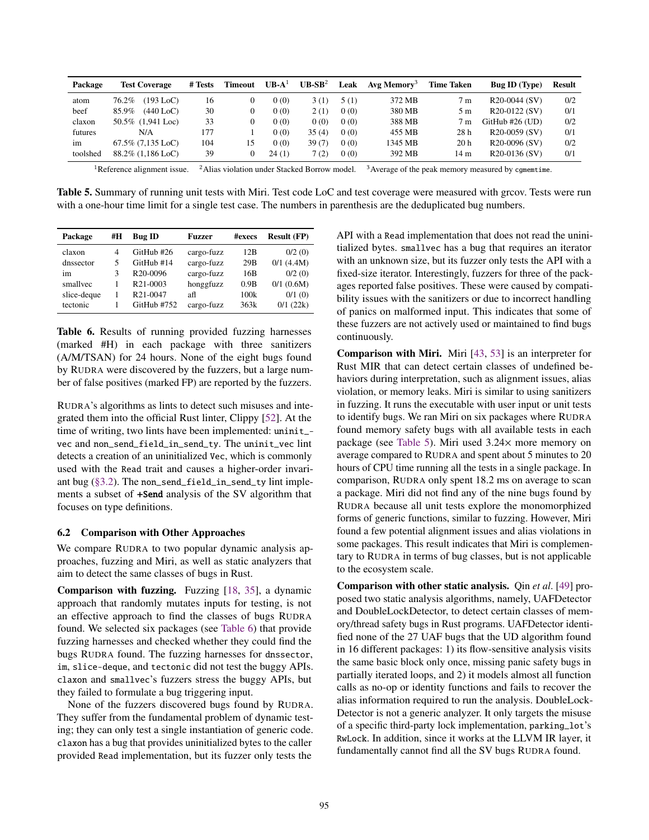<span id="page-11-2"></span>

| Package  | <b>Test Coverage</b>    | # Tests | <b>Timeout</b> | $UB-A^1$ | $UB-SB^2$ | Leak | Avg Memory <sup>3</sup> | <b>Time Taken</b> | <b>Bug ID</b> (Type)       | <b>Result</b> |
|----------|-------------------------|---------|----------------|----------|-----------|------|-------------------------|-------------------|----------------------------|---------------|
| atom     | 76.2%<br>$(193$ LoC $)$ | 16      |                | 0(0)     | 3(1)      | 5(1) | 372 MB                  | 7 <sub>m</sub>    | R <sub>20</sub> -0044 (SV) | 0/2           |
| beef     | $(440$ LoC $)$<br>85.9% | 30      |                | 0(0)     | 2 (1)     | 0(0) | 380 MB                  | 5 m               | R <sub>20</sub> -0122 (SV) | 0/1           |
| claxon   | 50.5% (1,941 Loc)       | 33      |                | 0(0)     | 0(0)      | 0(0) | 388 MB                  | 7 <sub>m</sub>    | $G$ itHub #26 (UD)         | 0/2           |
| futures  | N/A                     | 177     |                | 0(0)     | 35(4)     | 0(0) | 455 MB                  | 28 h              | R <sub>20</sub> -0059 (SV) | 0/1           |
| im       | $67.5\%$ $(7.135$ LoC)  | 104     | 15             | 0(0)     | 39(7)     | 0(0) | 1345 MB                 | 20 <sub>h</sub>   | R <sub>20</sub> -0096 (SV) | 0/2           |
| toolshed | $88.2\%$ (1.186 LoC)    | 39      |                | 24(1)    | 7(2)      | 0(0) | 392 MB                  | 14 m              | R <sub>20</sub> -0136 (SV) | 0/1           |

<sup>1</sup>Reference alignment issue. <sup>2</sup>Alias violation under Stacked Borrow model. <sup>3</sup>Average of the peak memory measured by cgmemtime.

Table 5. Summary of running unit tests with Miri. Test code LoC and test coverage were measured with grcov. Tests were run with a one-hour time limit for a single test case. The numbers in parenthesis are the deduplicated bug numbers.

<span id="page-11-1"></span>

| Package     | #H | <b>Bug ID</b>         | <b>Fuzzer</b> | #execs | <b>Result (FP)</b> |
|-------------|----|-----------------------|---------------|--------|--------------------|
| claxon      | 4  | GitHub #26            | cargo-fuzz    | 12B    | 0/2(0)             |
| dnssector   | 5  | GitHub #14            | cargo-fuzz    | 29B    | $0/1$ (4.4M)       |
| im          | 3  | R <sub>20</sub> -0096 | cargo-fuzz    | 16B    | 0/2(0)             |
| smallyec    |    | R <sub>21</sub> -0003 | honggfuzz     | 0.9B   | $0/1$ (0.6M)       |
| slice-deque |    | R <sub>21</sub> -0047 | afl           | 100k   | 0/1(0)             |
| tectonic    |    | GitHub #752           | cargo-fuzz    | 363k   | 0/1(22k)           |

Table 6. Results of running provided fuzzing harnesses (marked #H) in each package with three sanitizers (A/M/TSAN) for 24 hours. None of the eight bugs found by RUDRA were discovered by the fuzzers, but a large number of false positives (marked FP) are reported by the fuzzers.

RUDRA's algorithms as lints to detect such misuses and integrated them into the official Rust linter, Clippy [\[52\]](#page-15-13). At the time of writing, two lints have been implemented: uninit\_ vec and non\_send\_field\_in\_send\_ty. The uninit\_vec lint detects a creation of an uninitialized Vec, which is commonly used with the Read trait and causes a higher-order invariant bug [\(§3.2\)](#page-4-2). The non\_send\_field\_in\_send\_ty lint implements a subset of +Send analysis of the SV algorithm that focuses on type definitions.

## <span id="page-11-0"></span>6.2 Comparison with Other Approaches

We compare RUDRA to two popular dynamic analysis approaches, fuzzing and Miri, as well as static analyzers that aim to detect the same classes of bugs in Rust.

Comparison with fuzzing. Fuzzing [\[18,](#page-14-14) [35\]](#page-14-29), a dynamic approach that randomly mutates inputs for testing, is not an effective approach to find the classes of bugs RUDRA found. We selected six packages (see [Table 6\)](#page-11-1) that provide fuzzing harnesses and checked whether they could find the bugs RUDRA found. The fuzzing harnesses for dnssector, im, slice-deque, and tectonic did not test the buggy APIs. claxon and smallvec's fuzzers stress the buggy APIs, but they failed to formulate a bug triggering input.

None of the fuzzers discovered bugs found by RUDRA. They suffer from the fundamental problem of dynamic testing; they can only test a single instantiation of generic code. claxon has a bug that provides uninitialized bytes to the caller provided Read implementation, but its fuzzer only tests the

API with a Read implementation that does not read the uninitialized bytes. smallvec has a bug that requires an iterator with an unknown size, but its fuzzer only tests the API with a fixed-size iterator. Interestingly, fuzzers for three of the packages reported false positives. These were caused by compatibility issues with the sanitizers or due to incorrect handling of panics on malformed input. This indicates that some of these fuzzers are not actively used or maintained to find bugs continuously.

Comparison with Miri. Miri [\[43,](#page-15-5) [53\]](#page-15-12) is an interpreter for Rust MIR that can detect certain classes of undefined behaviors during interpretation, such as alignment issues, alias violation, or memory leaks. Miri is similar to using sanitizers in fuzzing. It runs the executable with user input or unit tests to identify bugs. We ran Miri on six packages where RUDRA found memory safety bugs with all available tests in each package (see [Table 5\)](#page-11-2). Miri used 3.24× more memory on average compared to RUDRA and spent about 5 minutes to 20 hours of CPU time running all the tests in a single package. In comparison, RUDRA only spent 18.2 ms on average to scan a package. Miri did not find any of the nine bugs found by RUDRA because all unit tests explore the monomorphized forms of generic functions, similar to fuzzing. However, Miri found a few potential alignment issues and alias violations in some packages. This result indicates that Miri is complementary to RUDRA in terms of bug classes, but is not applicable to the ecosystem scale.

Comparison with other static analysis. Qin *et al*. [\[49\]](#page-15-20) proposed two static analysis algorithms, namely, UAFDetector and DoubleLockDetector, to detect certain classes of memory/thread safety bugs in Rust programs. UAFDetector identified none of the 27 UAF bugs that the UD algorithm found in 16 different packages: 1) its flow-sensitive analysis visits the same basic block only once, missing panic safety bugs in partially iterated loops, and 2) it models almost all function calls as no-op or identity functions and fails to recover the alias information required to run the analysis. DoubleLock-Detector is not a generic analyzer. It only targets the misuse of a specific third-party lock implementation, parking\_lot's RwLock. In addition, since it works at the LLVM IR layer, it fundamentally cannot find all the SV bugs RUDRA found.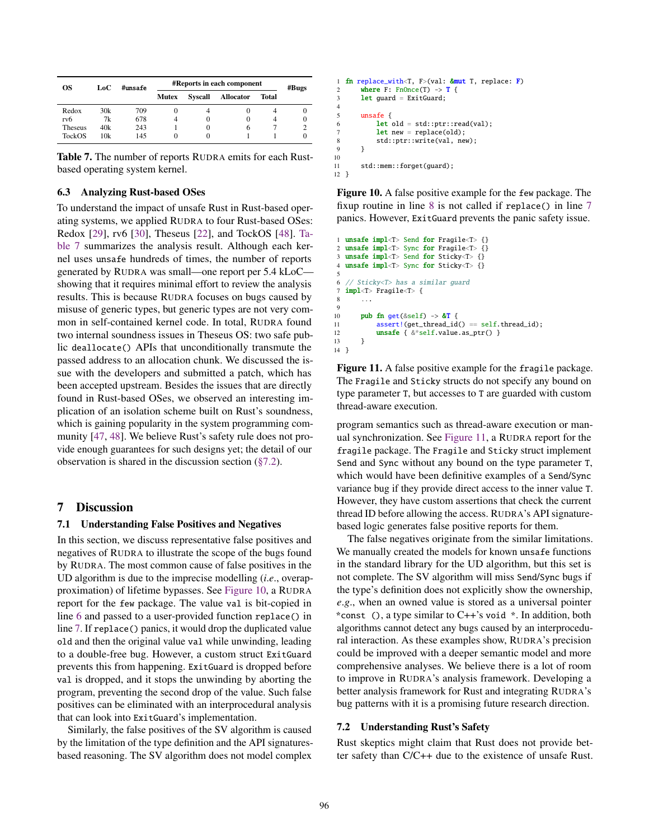<span id="page-12-2"></span>

| OS.           | LoC | #unsafe | <b>#Reports in each component</b> | #Bugs    |                  |       |          |
|---------------|-----|---------|-----------------------------------|----------|------------------|-------|----------|
|               |     |         | Mutex                             | Syscall  | <b>Allocator</b> | Total |          |
| Redox         | 30k | 709     |                                   |          |                  |       | O        |
| rv6           | 7k  | 678     |                                   | 0        |                  |       | $\Omega$ |
| Theseus       | 40k | 243     |                                   | $\theta$ | 6                |       |          |
| <b>TockOS</b> | 10k | 145     |                                   | 0        |                  |       | O        |

Table 7. The number of reports RUDRA emits for each Rustbased operating system kernel.

## <span id="page-12-0"></span>6.3 Analyzing Rust-based OSes

To understand the impact of unsafe Rust in Rust-based operating systems, we applied RUDRA to four Rust-based OSes: Redox [\[29\]](#page-14-30), rv6 [\[30\]](#page-14-31), Theseus [\[22\]](#page-14-1), and TockOS [\[48\]](#page-15-21). [Ta](#page-12-2)[ble 7](#page-12-2) summarizes the analysis result. Although each kernel uses unsafe hundreds of times, the number of reports generated by RUDRA was small—one report per 5.4 kLoC showing that it requires minimal effort to review the analysis results. This is because RUDRA focuses on bugs caused by misuse of generic types, but generic types are not very common in self-contained kernel code. In total, RUDRA found two internal soundness issues in Theseus OS: two safe public deallocate() APIs that unconditionally transmute the passed address to an allocation chunk. We discussed the issue with the developers and submitted a patch, which has been accepted upstream. Besides the issues that are directly found in Rust-based OSes, we observed an interesting implication of an isolation scheme built on Rust's soundness, which is gaining popularity in the system programming community [\[47,](#page-15-0) [48\]](#page-15-21). We believe Rust's safety rule does not provide enough guarantees for such designs yet; the detail of our observation is shared in the discussion section [\(§7.2\)](#page-12-3).

# 7 Discussion

#### <span id="page-12-1"></span>7.1 Understanding False Positives and Negatives

In this section, we discuss representative false positives and negatives of RUDRA to illustrate the scope of the bugs found by RUDRA. The most common cause of false positives in the UD algorithm is due to the imprecise modelling (*i*.*e*., overapproximation) of lifetime bypasses. See [Figure 10,](#page-12-4) a RUDRA report for the few package. The value val is bit-copied in line [6](#page-12-4) and passed to a user-provided function replace() in line [7.](#page-12-4) If replace() panics, it would drop the duplicated value old and then the original value val while unwinding, leading to a double-free bug. However, a custom struct ExitGuard prevents this from happening. ExitGuard is dropped before val is dropped, and it stops the unwinding by aborting the program, preventing the second drop of the value. Such false positives can be eliminated with an interprocedural analysis that can look into ExitGuard's implementation.

Similarly, the false positives of the SV algorithm is caused by the limitation of the type definition and the API signaturesbased reasoning. The SV algorithm does not model complex

```
1 fn replace_with<T, F>(val: &mut T, replace: F)
2 where F: \text{FnOnce}(T) \rightarrow T {
3 let guard = ExitGuard;
\frac{4}{5}unsafe \{6 let old = std::ptr::read(val);
7 let new = replace(old);
8 std::ptr::write(val, new);
 9 }
10
11 std::mem::forget(guard);
12 \frac{1}{2}
```
Figure 10. A false positive example for the few package. The fixup routine in line [8](#page-12-4) is not called if replace() in line [7](#page-12-4) panics. However, ExitGuard prevents the panic safety issue.

```
1 unsafe impl<T> Send for Fragile<T> {}
 2 unsafe impl<T> Sync for Fragile<T> {}<br>3 unsafe impl<T> Send for Sticky<T> {}
    unsafe impl<T> Send for Sticky<T> {}
 4 unsafe impl<T> Sync for Sticky<T> {}
  5
 6 // Sticky<T> has a similar guard<br>7 \frac{1}{2} \frac{1}{2} \frac{1}{2} \frac{1}{2} \frac{1}{2} \frac{1}{2} \frac{1}{2} \frac{1}{2} \frac{1}{2} \frac{1}{2} \frac{1}{2} \frac{1}{2} \frac{1}{2} \frac{1}{2} \frac{1}{2} \frac{1}{2} \frac{1}{2} \frac{1}{2} \frac{7 impl<T> Fragile<T> {
             8 ...
 9
10 pub fn get(&self) \rightarrow &T {<br>11 assert!(get thread id
                    assert!(get\_thread_id() == self.thread_id);12 unsafe { &*self.value.as_ptr() }
13 }
14 }
```
Figure 11. A false positive example for the fragile package. The Fragile and Sticky structs do not specify any bound on type parameter T, but accesses to T are guarded with custom thread-aware execution.

program semantics such as thread-aware execution or manual synchronization. See [Figure 11,](#page-12-5) a RUDRA report for the fragile package. The Fragile and Sticky struct implement Send and Sync without any bound on the type parameter T, which would have been definitive examples of a Send/Sync variance bug if they provide direct access to the inner value T. However, they have custom assertions that check the current thread ID before allowing the access. RUDRA's API signaturebased logic generates false positive reports for them.

The false negatives originate from the similar limitations. We manually created the models for known unsafe functions in the standard library for the UD algorithm, but this set is not complete. The SV algorithm will miss Send/Sync bugs if the type's definition does not explicitly show the ownership, *e*.*g*., when an owned value is stored as a universal pointer \*const (), a type similar to C++'s void \*. In addition, both algorithms cannot detect any bugs caused by an interprocedural interaction. As these examples show, RUDRA's precision could be improved with a deeper semantic model and more comprehensive analyses. We believe there is a lot of room to improve in RUDRA's analysis framework. Developing a better analysis framework for Rust and integrating RUDRA's bug patterns with it is a promising future research direction.

#### <span id="page-12-3"></span>7.2 Understanding Rust's Safety

Rust skeptics might claim that Rust does not provide better safety than C/C++ due to the existence of unsafe Rust.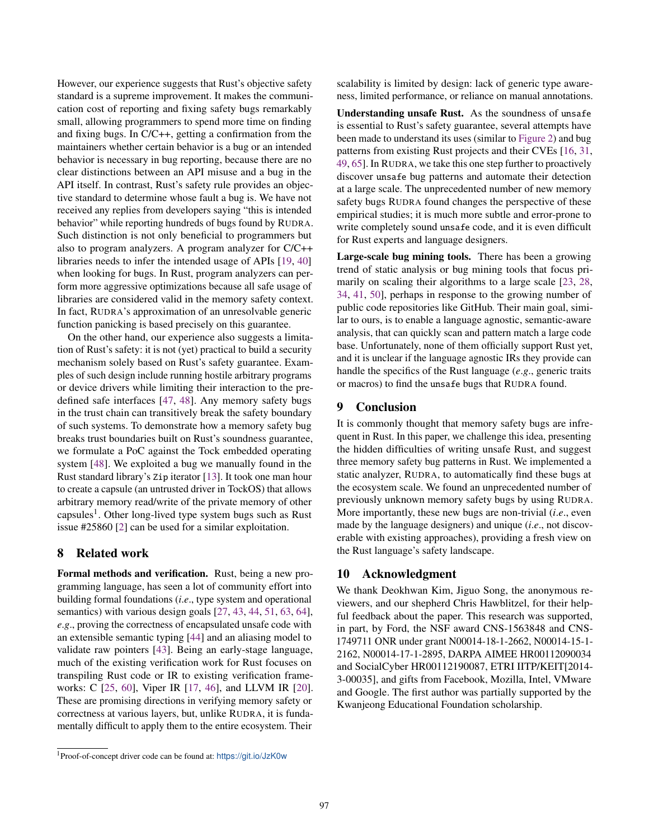However, our experience suggests that Rust's objective safety standard is a supreme improvement. It makes the communication cost of reporting and fixing safety bugs remarkably small, allowing programmers to spend more time on finding and fixing bugs. In C/C++, getting a confirmation from the maintainers whether certain behavior is a bug or an intended behavior is necessary in bug reporting, because there are no clear distinctions between an API misuse and a bug in the API itself. In contrast, Rust's safety rule provides an objective standard to determine whose fault a bug is. We have not received any replies from developers saying "this is intended behavior" while reporting hundreds of bugs found by RUDRA. Such distinction is not only beneficial to programmers but also to program analyzers. A program analyzer for C/C++ libraries needs to infer the intended usage of APIs [\[19,](#page-14-32) [40\]](#page-14-33) when looking for bugs. In Rust, program analyzers can perform more aggressive optimizations because all safe usage of libraries are considered valid in the memory safety context. In fact, RUDRA's approximation of an unresolvable generic function panicking is based precisely on this guarantee.

On the other hand, our experience also suggests a limitation of Rust's safety: it is not (yet) practical to build a security mechanism solely based on Rust's safety guarantee. Examples of such design include running hostile arbitrary programs or device drivers while limiting their interaction to the predefined safe interfaces [\[47,](#page-15-0) [48\]](#page-15-21). Any memory safety bugs in the trust chain can transitively break the safety boundary of such systems. To demonstrate how a memory safety bug breaks trust boundaries built on Rust's soundness guarantee, we formulate a PoC against the Tock embedded operating system [\[48\]](#page-15-21). We exploited a bug we manually found in the Rust standard library's Zip iterator [\[13\]](#page-14-34). It took one man hour to create a capsule (an untrusted driver in TockOS) that allows arbitrary memory read/write of the private memory of other capsules<sup>1</sup>. Other long-lived type system bugs such as Rust issue #25860 [\[2\]](#page-14-35) can be used for a similar exploitation.

## 8 Related work

Formal methods and verification. Rust, being a new programming language, has seen a lot of community effort into building formal foundations (*i*.*e*., type system and operational semantics) with various design goals [\[27,](#page-14-10) [43,](#page-15-5) [44,](#page-15-6) [51,](#page-15-7) [63,](#page-15-8) [64\]](#page-15-9), *e*.*g*., proving the correctness of encapsulated unsafe code with an extensible semantic typing [\[44\]](#page-15-6) and an aliasing model to validate raw pointers [\[43\]](#page-15-5). Being an early-stage language, much of the existing verification work for Rust focuses on transpiling Rust code or IR to existing verification frameworks: C [\[25,](#page-14-13) [60\]](#page-15-11), Viper IR [\[17,](#page-14-11) [46\]](#page-15-10), and LLVM IR [\[20\]](#page-14-12). These are promising directions in verifying memory safety or correctness at various layers, but, unlike RUDRA, it is fundamentally difficult to apply them to the entire ecosystem. Their

scalability is limited by design: lack of generic type awareness, limited performance, or reliance on manual annotations.

Understanding unsafe Rust. As the soundness of unsafe is essential to Rust's safety guarantee, several attempts have been made to understand its uses (similar to [Figure 2\)](#page-1-1) and bug patterns from existing Rust projects and their CVEs [\[16,](#page-14-6) [31,](#page-14-7) [49,](#page-15-20) [65\]](#page-15-22). In RUDRA, we take this one step further to proactively discover unsafe bug patterns and automate their detection at a large scale. The unprecedented number of new memory safety bugs RUDRA found changes the perspective of these empirical studies; it is much more subtle and error-prone to write completely sound unsafe code, and it is even difficult for Rust experts and language designers.

Large-scale bug mining tools. There has been a growing trend of static analysis or bug mining tools that focus primarily on scaling their algorithms to a large scale [\[23,](#page-14-36) [28,](#page-14-37) [34,](#page-14-38) [41,](#page-15-23) [50\]](#page-15-24), perhaps in response to the growing number of public code repositories like GitHub. Their main goal, similar to ours, is to enable a language agnostic, semantic-aware analysis, that can quickly scan and pattern match a large code base. Unfortunately, none of them officially support Rust yet, and it is unclear if the language agnostic IRs they provide can handle the specifics of the Rust language (*e*.*g*., generic traits or macros) to find the unsafe bugs that RUDRA found.

## 9 Conclusion

It is commonly thought that memory safety bugs are infrequent in Rust. In this paper, we challenge this idea, presenting the hidden difficulties of writing unsafe Rust, and suggest three memory safety bug patterns in Rust. We implemented a static analyzer, RUDRA, to automatically find these bugs at the ecosystem scale. We found an unprecedented number of previously unknown memory safety bugs by using RUDRA. More importantly, these new bugs are non-trivial (*i*.*e*., even made by the language designers) and unique (*i*.*e*., not discoverable with existing approaches), providing a fresh view on the Rust language's safety landscape.

## 10 Acknowledgment

We thank Deokhwan Kim, Jiguo Song, the anonymous reviewers, and our shepherd Chris Hawblitzel, for their helpful feedback about the paper. This research was supported, in part, by Ford, the NSF award CNS-1563848 and CNS-1749711 ONR under grant N00014-18-1-2662, N00014-15-1- 2162, N00014-17-1-2895, DARPA AIMEE HR00112090034 and SocialCyber HR00112190087, ETRI IITP/KEIT[2014- 3-00035], and gifts from Facebook, Mozilla, Intel, VMware and Google. The first author was partially supported by the Kwanjeong Educational Foundation scholarship.

<sup>1</sup>Proof-of-concept driver code can be found at: <https://git.io/JzK0w>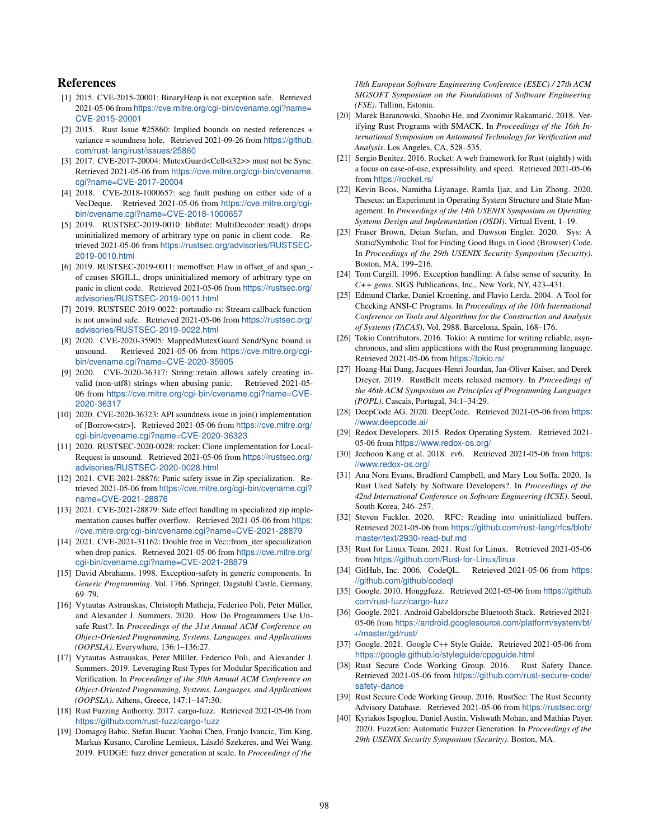# References

- <span id="page-14-21"></span>[1] 2015. CVE-2015-20001: BinaryHeap is not exception safe. Retrieved 2021-05-06 from [https://cve.mitre.org/cgi-bin/cvename.cgi?name=](https://cve.mitre.org/cgi-bin/cvename.cgi?name=CVE-2015-20001) [CVE-2015-20001](https://cve.mitre.org/cgi-bin/cvename.cgi?name=CVE-2015-20001)
- <span id="page-14-35"></span>[2] 2015. Rust Issue #25860: Implied bounds on nested references + variance = soundness hole. Retrieved 2021-09-26 from [https://github.](https://github.com/rust-lang/rust/issues/25860) [com/rust-lang/rust/issues/25860](https://github.com/rust-lang/rust/issues/25860)
- <span id="page-14-25"></span>[3] 2017. CVE-2017-20004: MutexGuard<Cell<i32>> must not be Sync. Retrieved 2021-05-06 from [https://cve.mitre.org/cgi-bin/cvename.](https://cve.mitre.org/cgi-bin/cvename.cgi?name=CVE-2017-20004) [cgi?name=CVE-2017-20004](https://cve.mitre.org/cgi-bin/cvename.cgi?name=CVE-2017-20004)
- <span id="page-14-8"></span>[4] 2018. CVE-2018-1000657: seg fault pushing on either side of a VecDeque. Retrieved 2021-05-06 from [https://cve.mitre.org/cgi](https://cve.mitre.org/cgi-bin/cvename.cgi?name=CVE-2018-1000657)[bin/cvename.cgi?name=CVE-2018-1000657](https://cve.mitre.org/cgi-bin/cvename.cgi?name=CVE-2018-1000657)
- <span id="page-14-19"></span>[5] 2019. RUSTSEC-2019-0010: libflate: MultiDecoder::read() drops uninitialized memory of arbitrary type on panic in client code. Retrieved 2021-05-06 from [https://rustsec.org/advisories/RUSTSEC-](https://rustsec.org/advisories/RUSTSEC-2019-0010.html)[2019-0010.html](https://rustsec.org/advisories/RUSTSEC-2019-0010.html)
- [6] 2019. RUSTSEC-2019-0011: memoffset: Flaw in offset\_of and span\_ of causes SIGILL, drops uninitialized memory of arbitrary type on panic in client code. Retrieved 2021-05-06 from [https://rustsec.org/](https://rustsec.org/advisories/RUSTSEC-2019-0011.html) [advisories/RUSTSEC-2019-0011.html](https://rustsec.org/advisories/RUSTSEC-2019-0011.html)
- <span id="page-14-20"></span>[7] 2019. RUSTSEC-2019-0022: portaudio-rs: Stream callback function is not unwind safe. Retrieved 2021-05-06 from [https://rustsec.org/](https://rustsec.org/advisories/RUSTSEC-2019-0022.html) [advisories/RUSTSEC-2019-0022.html](https://rustsec.org/advisories/RUSTSEC-2019-0022.html)
- <span id="page-14-26"></span>[8] 2020. CVE-2020-35905: MappedMutexGuard Send/Sync bound is unsound. Retrieved 2021-05-06 from [https://cve.mitre.org/cgi](https://cve.mitre.org/cgi-bin/cvename.cgi?name=CVE-2020-35905)[bin/cvename.cgi?name=CVE-2020-35905](https://cve.mitre.org/cgi-bin/cvename.cgi?name=CVE-2020-35905)
- <span id="page-14-15"></span>[9] 2020. CVE-2020-36317: String::retain allows safely creating invalid (non-utf8) strings when abusing panic. Retrieved 2021-05- 06 from [https://cve.mitre.org/cgi-bin/cvename.cgi?name=CVE-](https://cve.mitre.org/cgi-bin/cvename.cgi?name=CVE-2020-36317)[2020-36317](https://cve.mitre.org/cgi-bin/cvename.cgi?name=CVE-2020-36317)
- <span id="page-14-24"></span>[10] 2020. CVE-2020-36323: API soundness issue in join() implementation of [Borrow<str>]. Retrieved 2021-05-06 from [https://cve.mitre.org/](https://cve.mitre.org/cgi-bin/cvename.cgi?name=CVE-2020-36323) [cgi-bin/cvename.cgi?name=CVE-2020-36323](https://cve.mitre.org/cgi-bin/cvename.cgi?name=CVE-2020-36323)
- <span id="page-14-9"></span>[11] 2020. RUSTSEC-2020-0028: rocket: Clone implementation for Local-Request is unsound. Retrieved 2021-05-06 from [https://rustsec.org/](https://rustsec.org/advisories/RUSTSEC-2020-0028.html) [advisories/RUSTSEC-2020-0028.html](https://rustsec.org/advisories/RUSTSEC-2020-0028.html)
- <span id="page-14-22"></span>[12] 2021. CVE-2021-28876: Panic safety issue in Zip specialization. Retrieved 2021-05-06 from [https://cve.mitre.org/cgi-bin/cvename.cgi?](https://cve.mitre.org/cgi-bin/cvename.cgi?name=CVE-2021-28876) [name=CVE-2021-28876](https://cve.mitre.org/cgi-bin/cvename.cgi?name=CVE-2021-28876)
- <span id="page-14-34"></span>[13] 2021. CVE-2021-28879: Side effect handling in specialized zip implementation causes buffer overflow. Retrieved 2021-05-06 from [https:](https://cve.mitre.org/cgi-bin/cvename.cgi?name=CVE-2021-28879) [//cve.mitre.org/cgi-bin/cvename.cgi?name=CVE-2021-28879](https://cve.mitre.org/cgi-bin/cvename.cgi?name=CVE-2021-28879)
- <span id="page-14-23"></span>[14] 2021. CVE-2021-31162: Double free in Vec::from\_iter specialization when drop panics. Retrieved 2021-05-06 from [https://cve.mitre.org/](https://cve.mitre.org/cgi-bin/cvename.cgi?name=CVE-2021-28879) [cgi-bin/cvename.cgi?name=CVE-2021-28879](https://cve.mitre.org/cgi-bin/cvename.cgi?name=CVE-2021-28879)
- <span id="page-14-16"></span>[15] David Abrahams. 1998. Exception-safety in generic components. In *Generic Programming*. Vol. 1766. Springer, Dagstuhl Castle, Germany, 69–79.
- <span id="page-14-6"></span>[16] Vytautas Astrauskas, Christoph Matheja, Federico Poli, Peter Müller, and Alexander J. Summers. 2020. How Do Programmers Use Unsafe Rust?. In *Proceedings of the 31st Annual ACM Conference on Object-Oriented Programming, Systems, Languages, and Applications (OOPSLA)*. Everywhere, 136:1–136:27.
- <span id="page-14-11"></span>[17] Vytautas Astrauskas, Peter Müller, Federico Poli, and Alexander J. Summers. 2019. Leveraging Rust Types for Modular Specification and Verification. In *Proceedings of the 30th Annual ACM Conference on Object-Oriented Programming, Systems, Languages, and Applications (OOPSLA)*. Athens, Greece, 147:1–147:30.
- <span id="page-14-14"></span>[18] Rust Fuzzing Authority. 2017. cargo-fuzz. Retrieved 2021-05-06 from <https://github.com/rust-fuzz/cargo-fuzz>
- <span id="page-14-32"></span>[19] Domagoj Babic, Stefan Bucur, Yaohui Chen, Franjo Ivancic, Tim King, Markus Kusano, Caroline Lemieux, László Szekeres, and Wei Wang. 2019. FUDGE: fuzz driver generation at scale. In *Proceedings of the*

*18th European Software Engineering Conference (ESEC) / 27th ACM SIGSOFT Symposium on the Foundations of Software Engineering (FSE)*. Tallinn, Estonia.

- <span id="page-14-12"></span>[20] Marek Baranowski, Shaobo He, and Zvonimir Rakamarić. 2018. Verifying Rust Programs with SMACK. In *Proceedings of the 16th International Symposium on Automated Technology for Verification and Analysis*. Los Angeles, CA, 528–535.
- <span id="page-14-5"></span>[21] Sergio Benitez. 2016. Rocket: A web framework for Rust (nightly) with a focus on ease-of-use, expressibility, and speed. Retrieved 2021-05-06 from <https://rocket.rs/>
- <span id="page-14-1"></span>[22] Kevin Boos, Namitha Liyanage, Ramla Ijaz, and Lin Zhong. 2020. Theseus: an Experiment in Operating System Structure and State Management. In *Proceedings of the 14th USENIX Symposium on Operating Systems Design and Implementation (OSDI)*. Virtual Event, 1–19.
- <span id="page-14-36"></span>[23] Fraser Brown, Deian Stefan, and Dawson Engler. 2020. Sys: A Static/Symbolic Tool for Finding Good Bugs in Good (Browser) Code. In *Proceedings of the 29th USENIX Security Symposium (Security)*. Boston, MA, 199–216.
- <span id="page-14-17"></span>[24] Tom Cargill. 1996. Exception handling: A false sense of security. In *C++ gems*. SIGS Publications, Inc., New York, NY, 423–431.
- <span id="page-14-13"></span>[25] Edmund Clarke, Daniel Kroening, and Flavio Lerda. 2004. A Tool for Checking ANSI-C Programs. In *Proceedings of the 10th International Conference on Tools and Algorithms for the Construction and Analysis of Systems (TACAS)*, Vol. 2988. Barcelona, Spain, 168–176.
- <span id="page-14-4"></span>[26] Tokio Contributors. 2016. Tokio: A runtime for writing reliable, asynchronous, and slim applications with the Rust programming language. Retrieved 2021-05-06 from <https://tokio.rs/>
- <span id="page-14-10"></span>[27] Hoang-Hai Dang, Jacques-Henri Jourdan, Jan-Oliver Kaiser, and Derek Dreyer. 2019. RustBelt meets relaxed memory. In *Proceedings of the 46th ACM Symposium on Principles of Programming Languages (POPL)*. Cascais, Portugal, 34:1–34:29.
- <span id="page-14-37"></span>[28] DeepCode AG. 2020. DeepCode. Retrieved 2021-05-06 from [https:](https://www.deepcode.ai/) [//www.deepcode.ai/](https://www.deepcode.ai/)
- <span id="page-14-30"></span>[29] Redox Developers. 2015. Redox Operating System. Retrieved 2021- 05-06 from <https://www.redox-os.org/>
- <span id="page-14-31"></span>[30] Jeehoon Kang et al. 2018. rv6. Retrieved 2021-05-06 from [https:](https://www.redox-os.org/) [//www.redox-os.org/](https://www.redox-os.org/)
- <span id="page-14-7"></span>[31] Ana Nora Evans, Bradford Campbell, and Mary Lou Soffa. 2020. Is Rust Used Safely by Software Developers?. In *Proceedings of the 42nd International Conference on Software Engineering (ICSE)*. Seoul, South Korea, 246–257.
- <span id="page-14-28"></span>[32] Steven Fackler. 2020. RFC: Reading into uninitialized buffers. Retrieved 2021-05-06 from [https://github.com/rust-lang/rfcs/blob/](https://github.com/rust-lang/rfcs/blob/master/text/2930-read-buf.md) [master/text/2930-read-buf.md](https://github.com/rust-lang/rfcs/blob/master/text/2930-read-buf.md)
- <span id="page-14-2"></span>[33] Rust for Linux Team. 2021. Rust for Linux. Retrieved 2021-05-06 from <https://github.com/Rust-for-Linux/linux>
- <span id="page-14-38"></span>[34] GitHub, Inc. 2006. CodeQL. Retrieved 2021-05-06 from [https:](https://github.com/github/codeql) [//github.com/github/codeql](https://github.com/github/codeql)
- <span id="page-14-29"></span>[35] Google. 2010. Honggfuzz. Retrieved 2021-05-06 from [https://github.](https://github.com/rust-fuzz/cargo-fuzz) [com/rust-fuzz/cargo-fuzz](https://github.com/rust-fuzz/cargo-fuzz)
- <span id="page-14-3"></span>[36] Google. 2021. Android Gabeldorsche Bluetooth Stack. Retrieved 2021-05-06 from [https://android.googlesource.com/platform/system/bt/](https://android.googlesource.com/platform/system/bt/+/master/gd/rust/) [+/master/gd/rust/](https://android.googlesource.com/platform/system/bt/+/master/gd/rust/)
- <span id="page-14-18"></span>[37] Google. 2021. Google C++ Style Guide. Retrieved 2021-05-06 from <https://google.github.io/styleguide/cppguide.html>
- <span id="page-14-27"></span>[38] Rust Secure Code Working Group. 2016. Rust Safety Dance. Retrieved 2021-05-06 from [https://github.com/rust-secure-code/](https://github.com/rust-secure-code/safety-dance) [safety-dance](https://github.com/rust-secure-code/safety-dance)
- <span id="page-14-0"></span>[39] Rust Secure Code Working Group. 2016. RustSec: The Rust Security Advisory Database. Retrieved 2021-05-06 from <https://rustsec.org/>
- <span id="page-14-33"></span>[40] Kyriakos Ispoglou, Daniel Austin, Vishwath Mohan, and Mathias Payer. 2020. FuzzGen: Automatic Fuzzer Generation. In *Proceedings of the 29th USENIX Security Symposium (Security)*. Boston, MA.